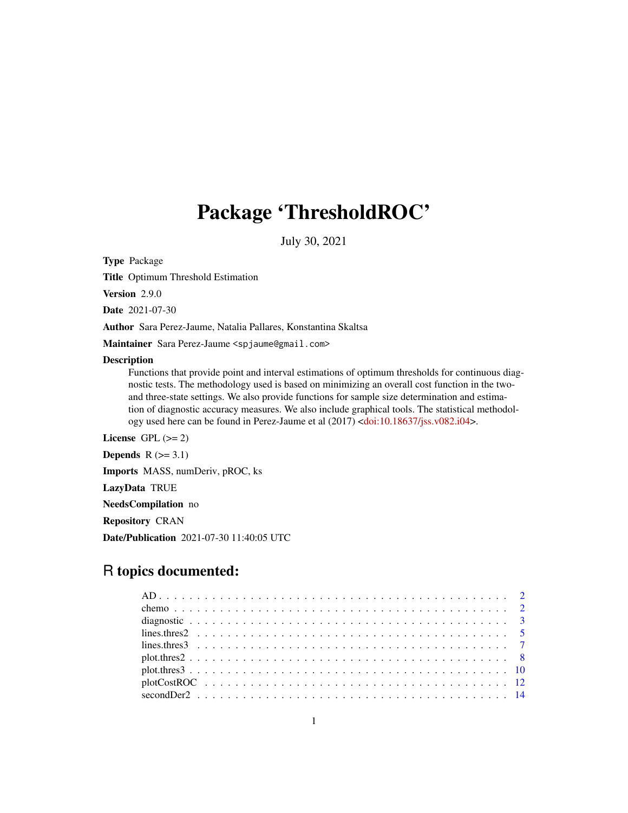# Package 'ThresholdROC'

July 30, 2021

Type Package

Title Optimum Threshold Estimation

Version 2.9.0

Date 2021-07-30

Author Sara Perez-Jaume, Natalia Pallares, Konstantina Skaltsa

Maintainer Sara Perez-Jaume <spjaume@gmail.com>

#### **Description**

Functions that provide point and interval estimations of optimum thresholds for continuous diagnostic tests. The methodology used is based on minimizing an overall cost function in the twoand three-state settings. We also provide functions for sample size determination and estimation of diagnostic accuracy measures. We also include graphical tools. The statistical methodology used here can be found in Perez-Jaume et al (2017) [<doi:10.18637/jss.v082.i04>](https://doi.org/10.18637/jss.v082.i04).

License GPL  $(>= 2)$ 

Depends  $R$  ( $>= 3.1$ )

Imports MASS, numDeriv, pROC, ks

LazyData TRUE

NeedsCompilation no

Repository CRAN

Date/Publication 2021-07-30 11:40:05 UTC

# R topics documented: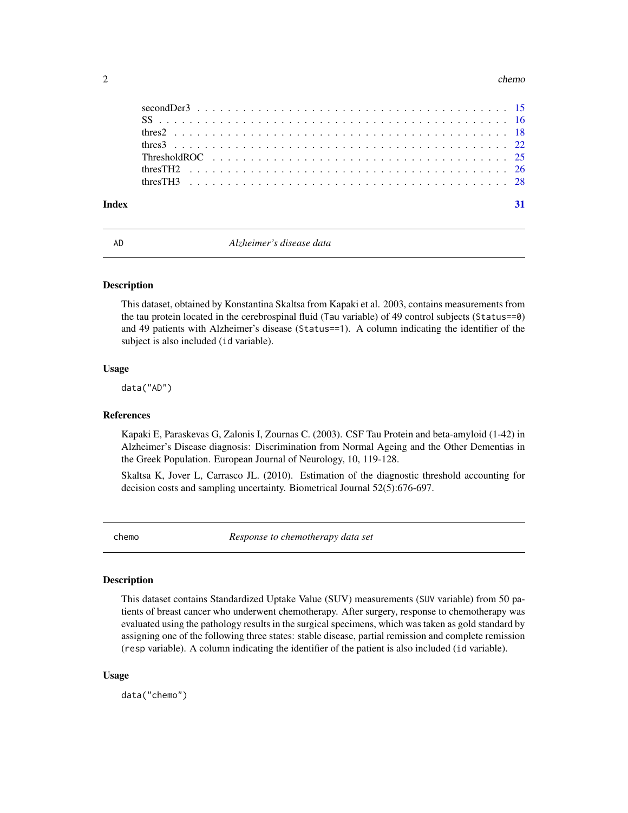#### <span id="page-1-0"></span> $2 \tchem$

| Index |  |  |  |  |  |  |  |  |  |  |  |  |  |  |  |  |  |  |
|-------|--|--|--|--|--|--|--|--|--|--|--|--|--|--|--|--|--|--|

AD *Alzheimer's disease data*

#### Description

This dataset, obtained by Konstantina Skaltsa from Kapaki et al. 2003, contains measurements from the tau protein located in the cerebrospinal fluid (Tau variable) of 49 control subjects (Status==0) and 49 patients with Alzheimer's disease (Status==1). A column indicating the identifier of the subject is also included (id variable).

#### Usage

data("AD")

#### **References**

Kapaki E, Paraskevas G, Zalonis I, Zournas C. (2003). CSF Tau Protein and beta-amyloid (1-42) in Alzheimer's Disease diagnosis: Discrimination from Normal Ageing and the Other Dementias in the Greek Population. European Journal of Neurology, 10, 119-128.

Skaltsa K, Jover L, Carrasco JL. (2010). Estimation of the diagnostic threshold accounting for decision costs and sampling uncertainty. Biometrical Journal 52(5):676-697.

chemo *Response to chemotherapy data set*

#### Description

This dataset contains Standardized Uptake Value (SUV) measurements (SUV variable) from 50 patients of breast cancer who underwent chemotherapy. After surgery, response to chemotherapy was evaluated using the pathology results in the surgical specimens, which was taken as gold standard by assigning one of the following three states: stable disease, partial remission and complete remission (resp variable). A column indicating the identifier of the patient is also included (id variable).

#### Usage

data("chemo")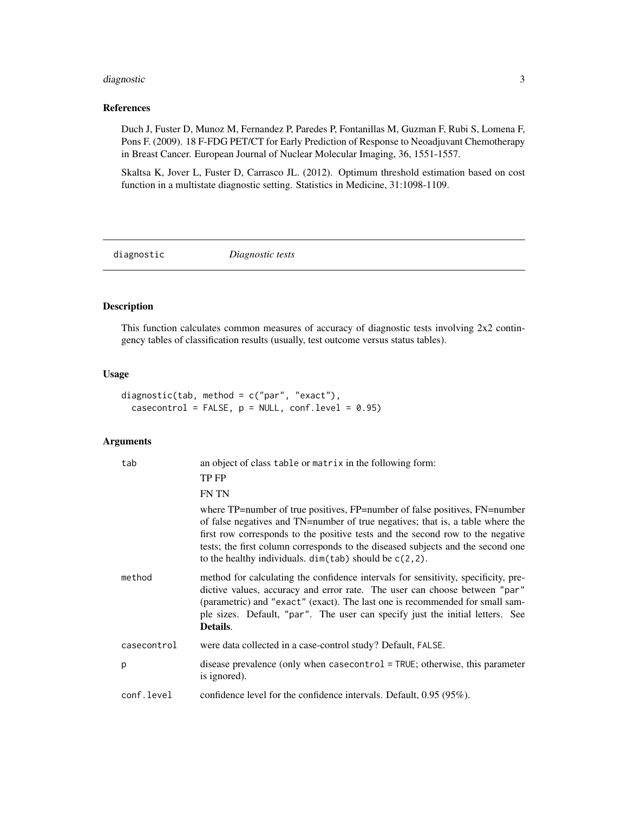# <span id="page-2-0"></span>diagnostic 3

## References

Duch J, Fuster D, Munoz M, Fernandez P, Paredes P, Fontanillas M, Guzman F, Rubi S, Lomena F, Pons F. (2009). 18 F-FDG PET/CT for Early Prediction of Response to Neoadjuvant Chemotherapy in Breast Cancer. European Journal of Nuclear Molecular Imaging, 36, 1551-1557.

Skaltsa K, Jover L, Fuster D, Carrasco JL. (2012). Optimum threshold estimation based on cost function in a multistate diagnostic setting. Statistics in Medicine, 31:1098-1109.

diagnostic *Diagnostic tests*

#### Description

This function calculates common measures of accuracy of diagnostic tests involving 2x2 contingency tables of classification results (usually, test outcome versus status tables).

# Usage

```
diagnostic(tab, method = c("par", "exact"),
  casecontrol = FALSE, p = NULL, conf.level = 0.95)
```
# Arguments

| tab         | an object of class table or matrix in the following form:                                                                                                                                                                                                                                                                                                                                        |
|-------------|--------------------------------------------------------------------------------------------------------------------------------------------------------------------------------------------------------------------------------------------------------------------------------------------------------------------------------------------------------------------------------------------------|
|             | TP FP                                                                                                                                                                                                                                                                                                                                                                                            |
|             | <b>FN TN</b>                                                                                                                                                                                                                                                                                                                                                                                     |
|             | where TP=number of true positives, FP=number of false positives, FN=number<br>of false negatives and TN=number of true negatives; that is, a table where the<br>first row corresponds to the positive tests and the second row to the negative<br>tests; the first column corresponds to the diseased subjects and the second one<br>to the healthy individuals. $dim(tab)$ should be $c(2,2)$ . |
| method      | method for calculating the confidence intervals for sensitivity, specificity, pre-<br>dictive values, accuracy and error rate. The user can choose between "par"<br>(parametric) and "exact" (exact). The last one is recommended for small sam-<br>ple sizes. Default, "par". The user can specify just the initial letters. See<br>Details.                                                    |
| casecontrol | were data collected in a case-control study? Default, FALSE.                                                                                                                                                                                                                                                                                                                                     |
| p           | disease prevalence (only when casecontrol = TRUE; otherwise, this parameter<br>is ignored).                                                                                                                                                                                                                                                                                                      |
| conf.level  | confidence level for the confidence intervals. Default, $0.95(95\%)$ .                                                                                                                                                                                                                                                                                                                           |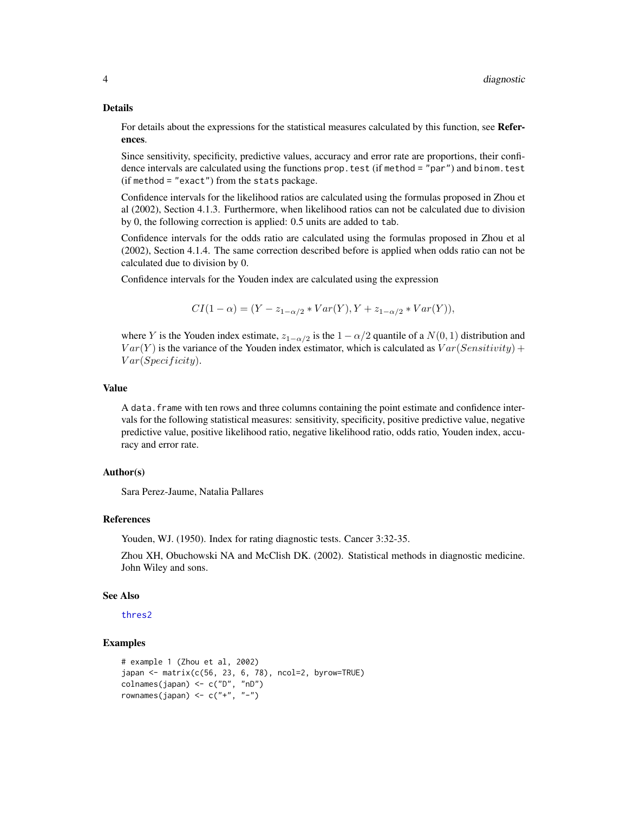#### Details

For details about the expressions for the statistical measures calculated by this function, see References.

Since sensitivity, specificity, predictive values, accuracy and error rate are proportions, their confidence intervals are calculated using the functions prop. test (if method = "par") and binom. test (if method = "exact") from the stats package.

Confidence intervals for the likelihood ratios are calculated using the formulas proposed in Zhou et al (2002), Section 4.1.3. Furthermore, when likelihood ratios can not be calculated due to division by 0, the following correction is applied: 0.5 units are added to tab.

Confidence intervals for the odds ratio are calculated using the formulas proposed in Zhou et al (2002), Section 4.1.4. The same correction described before is applied when odds ratio can not be calculated due to division by 0.

Confidence intervals for the Youden index are calculated using the expression

$$
CI(1 - \alpha) = (Y - z_{1-\alpha/2} * Var(Y), Y + z_{1-\alpha/2} * Var(Y)),
$$

where Y is the Youden index estimate,  $z_{1-\alpha/2}$  is the  $1-\alpha/2$  quantile of a  $N(0, 1)$  distribution and  $Var(Y)$  is the variance of the Youden index estimator, which is calculated as  $Var(Sensitivity)$  +  $Var(Specificity)$ .

#### Value

A data. frame with ten rows and three columns containing the point estimate and confidence intervals for the following statistical measures: sensitivity, specificity, positive predictive value, negative predictive value, positive likelihood ratio, negative likelihood ratio, odds ratio, Youden index, accuracy and error rate.

#### Author(s)

Sara Perez-Jaume, Natalia Pallares

#### References

Youden, WJ. (1950). Index for rating diagnostic tests. Cancer 3:32-35.

Zhou XH, Obuchowski NA and McClish DK. (2002). Statistical methods in diagnostic medicine. John Wiley and sons.

#### See Also

[thres2](#page-17-1)

# Examples

```
# example 1 (Zhou et al, 2002)
japan <- matrix(c(56, 23, 6, 78), ncol=2, byrow=TRUE)
colnames(japan) <- c("D", "nD")
rownames(japan) \leq c("+", "-")
```
<span id="page-3-0"></span>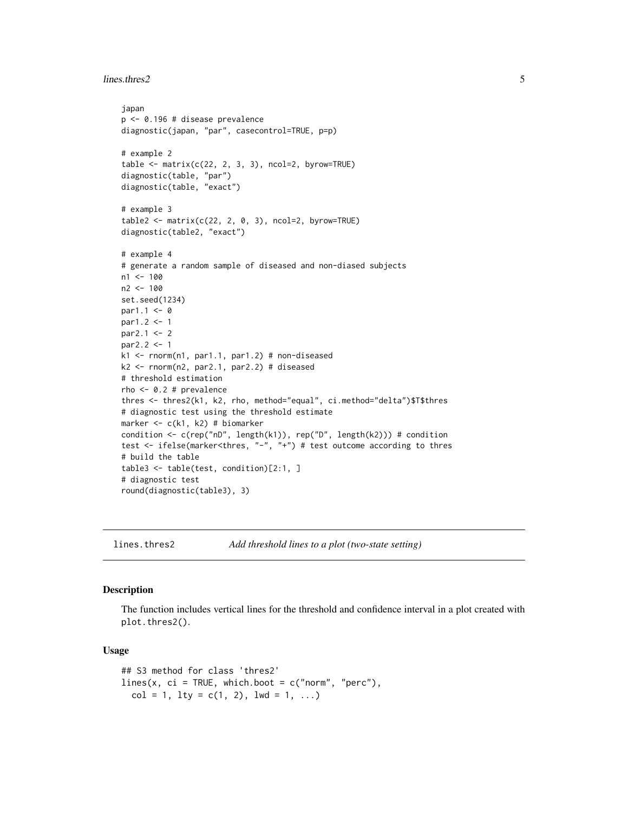```
lines.thres2 5
```

```
japan
p <- 0.196 # disease prevalence
diagnostic(japan, "par", casecontrol=TRUE, p=p)
# example 2
table \leftarrow matrix(c(22, 2, 3, 3), ncol=2, byrow=TRUE)diagnostic(table, "par")
diagnostic(table, "exact")
# example 3
table2 < - matrix(c(22, 2, 0, 3), ncol=2, byrow=TRUE)diagnostic(table2, "exact")
# example 4
# generate a random sample of diseased and non-diased subjects
n1 <- 100
n2 <- 100
set.seed(1234)
par1.1 < -0par1.2 <- 1
par2.1 < -2par2.2 < -1k1 <- rnorm(n1, par1.1, par1.2) # non-diseased
k2 <- rnorm(n2, par2.1, par2.2) # diseased
# threshold estimation
rho <- 0.2 # prevalence
thres <- thres2(k1, k2, rho, method="equal", ci.method="delta")$T$thres
# diagnostic test using the threshold estimate
marker <- c(k1, k2) # biomarker
condition <- c(rep("nD", length(k1)), rep("D", length(k2))) # condition
test <- ifelse(marker<thres, "-", "+") # test outcome according to thres
# build the table
table3 <- table(test, condition)[2:1, ]
# diagnostic test
round(diagnostic(table3), 3)
```

```
lines.thres2 Add threshold lines to a plot (two-state setting)
```
#### **Description**

The function includes vertical lines for the threshold and confidence interval in a plot created with plot.thres2().

#### Usage

```
## S3 method for class 'thres2'
lines(x, ci = TRUE, which.boot = c("norm", "perc"),
 col = 1, lty = c(1, 2), lwd = 1, ...)
```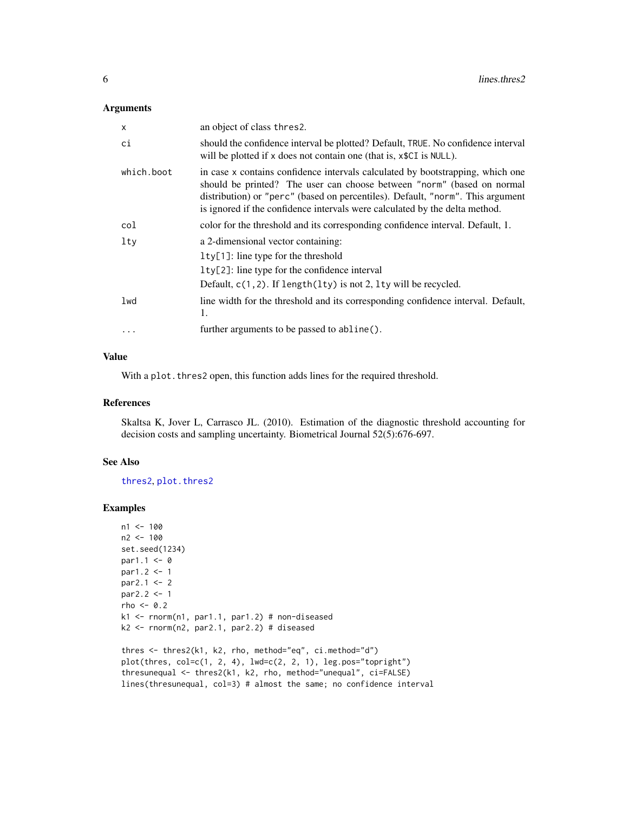#### <span id="page-5-0"></span>Arguments

| X          | an object of class thres2.                                                                                                                                                                                                                                                                                                |
|------------|---------------------------------------------------------------------------------------------------------------------------------------------------------------------------------------------------------------------------------------------------------------------------------------------------------------------------|
| ci         | should the confidence interval be plotted? Default, TRUE. No confidence interval<br>will be plotted if x does not contain one (that is, x\$CI is NULL).                                                                                                                                                                   |
| which.boot | in case x contains confidence intervals calculated by bootstrapping, which one<br>should be printed? The user can choose between "norm" (based on normal<br>distribution) or "perc" (based on percentiles). Default, "norm". This argument<br>is ignored if the confidence intervals were calculated by the delta method. |
| col        | color for the threshold and its corresponding confidence interval. Default, 1.                                                                                                                                                                                                                                            |
| $1$ ty     | a 2-dimensional vector containing:                                                                                                                                                                                                                                                                                        |
|            | $l$ ty[1]: line type for the threshold                                                                                                                                                                                                                                                                                    |
|            | $lty[2]$ : line type for the confidence interval                                                                                                                                                                                                                                                                          |
|            | Default, $c(1, 2)$ . If length(lty) is not 2, lty will be recycled.                                                                                                                                                                                                                                                       |
| lwd        | line width for the threshold and its corresponding confidence interval. Default,<br>1.                                                                                                                                                                                                                                    |
| $\cdots$   | further arguments to be passed to abline().                                                                                                                                                                                                                                                                               |

# Value

With a plot. thres2 open, this function adds lines for the required threshold.

#### References

Skaltsa K, Jover L, Carrasco JL. (2010). Estimation of the diagnostic threshold accounting for decision costs and sampling uncertainty. Biometrical Journal 52(5):676-697.

# See Also

[thres2](#page-17-1), [plot.thres2](#page-7-1)

#### Examples

```
n1 < -100n2 <- 100
set.seed(1234)
par1.1 < -0par1.2 <- 1
par2.1 < -2par2.2 <- 1
rho <-0.2k1 <- rnorm(n1, par1.1, par1.2) # non-diseased
k2 \leq -rnorm(n2, par2.1, par2.2) # diseased
thres <- thres2(k1, k2, rho, method="eq", ci.method="d")
plot(thres, col=c(1, 2, 4), lwd=c(2, 2, 1), leg.pos="topright")
thresunequal <- thres2(k1, k2, rho, method="unequal", ci=FALSE)
lines(thresunequal, col=3) # almost the same; no confidence interval
```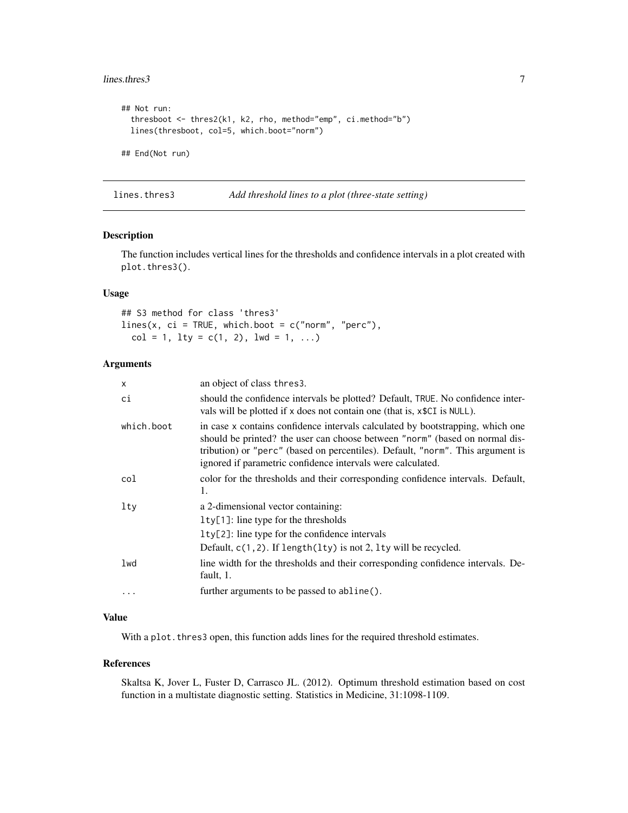#### <span id="page-6-0"></span>lines.thres3 7

```
## Not run:
 thresboot <- thres2(k1, k2, rho, method="emp", ci.method="b")
 lines(thresboot, col=5, which.boot="norm")
## End(Not run)
```
<span id="page-6-1"></span>lines.thres3 *Add threshold lines to a plot (three-state setting)*

#### Description

The function includes vertical lines for the thresholds and confidence intervals in a plot created with plot.thres3().

# Usage

```
## S3 method for class 'thres3'
lines(x, ci = TRUE, which.boot = c("norm", "perc"),
 col = 1, lty = c(1, 2), lwd = 1, ...)
```
# Arguments

| $\times$   | an object of class thres 3.                                                                                                                                                                                                                                                                                    |
|------------|----------------------------------------------------------------------------------------------------------------------------------------------------------------------------------------------------------------------------------------------------------------------------------------------------------------|
| ci         | should the confidence intervals be plotted? Default, TRUE. No confidence inter-<br>vals will be plotted if x does not contain one (that is, x\$CI is NULL).                                                                                                                                                    |
| which.boot | in case x contains confidence intervals calculated by bootstrapping, which one<br>should be printed? the user can choose between "norm" (based on normal dis-<br>tribution) or "perc" (based on percentiles). Default, "norm". This argument is<br>ignored if parametric confidence intervals were calculated. |
| col        | color for the thresholds and their corresponding confidence intervals. Default,<br>1.                                                                                                                                                                                                                          |
| lty        | a 2-dimensional vector containing:                                                                                                                                                                                                                                                                             |
|            | $lty[1]$ : line type for the thresholds                                                                                                                                                                                                                                                                        |
|            | 1ty[2]: line type for the confidence intervals                                                                                                                                                                                                                                                                 |
|            | Default, $c(1, 2)$ . If length(lty) is not 2, lty will be recycled.                                                                                                                                                                                                                                            |
| lwd        | line width for the thresholds and their corresponding confidence intervals. De-<br>fault, 1.                                                                                                                                                                                                                   |
| $\cdots$   | further arguments to be passed to abline().                                                                                                                                                                                                                                                                    |

#### Value

With a plot. thres3 open, this function adds lines for the required threshold estimates.

#### References

Skaltsa K, Jover L, Fuster D, Carrasco JL. (2012). Optimum threshold estimation based on cost function in a multistate diagnostic setting. Statistics in Medicine, 31:1098-1109.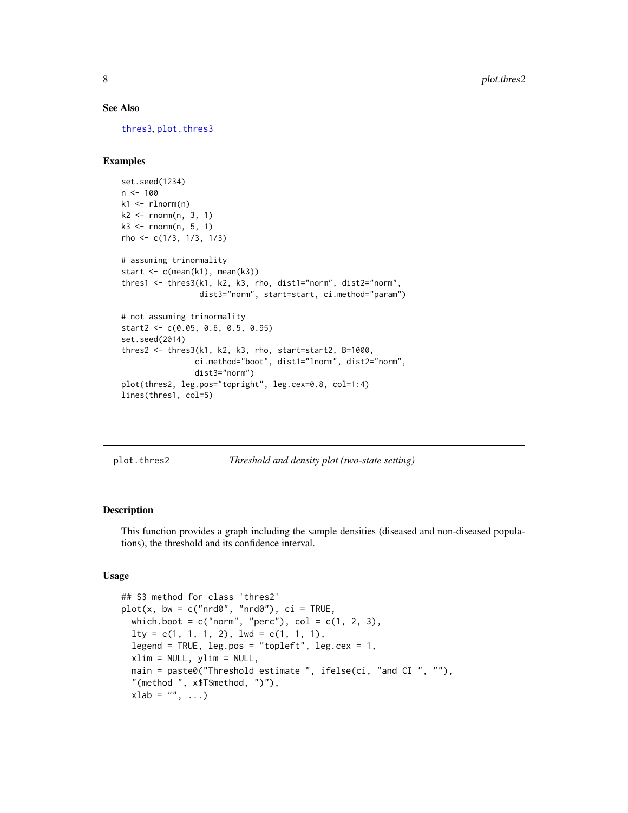#### <span id="page-7-0"></span>See Also

[thres3](#page-21-1), [plot.thres3](#page-9-1)

#### Examples

```
set.seed(1234)
n < -100k1 <- rlnorm(n)
k2 \leq -rnorm(n, 3, 1)k3 \le rnorm(n, 5, 1)
rho <- c(1/3, 1/3, 1/3)
# assuming trinormality
start \leq c(mean(k1), mean(k3))
thres1 <- thres3(k1, k2, k3, rho, dist1="norm", dist2="norm",
                 dist3="norm", start=start, ci.method="param")
# not assuming trinormality
start2 <- c(0.05, 0.6, 0.5, 0.95)
set.seed(2014)
thres2 <- thres3(k1, k2, k3, rho, start=start2, B=1000,
                ci.method="boot", dist1="lnorm", dist2="norm",
                dist3="norm")
plot(thres2, leg.pos="topright", leg.cex=0.8, col=1:4)
lines(thres1, col=5)
```
<span id="page-7-1"></span>

plot.thres2 *Threshold and density plot (two-state setting)*

#### Description

This function provides a graph including the sample densities (diseased and non-diseased populations), the threshold and its confidence interval.

### Usage

```
## S3 method for class 'thres2'
plot(x, bw = c("nrd0", "nrd0"), ci = TRUE,which.boot = c("norm", "perc"), col = <math>c(1, 2, 3)</math>,lty = c(1, 1, 1, 2), lwd = c(1, 1, 1),legend = TRUE, leg.pos = "topleft", leg.cex = 1,
  xlim = NULL, ylim = NULL,main = paste0("Threshold estimate ", ifelse(ci, "and CI ", ""),
  "(method ", x$T$method, ")"),
  xlab = "", ...)
```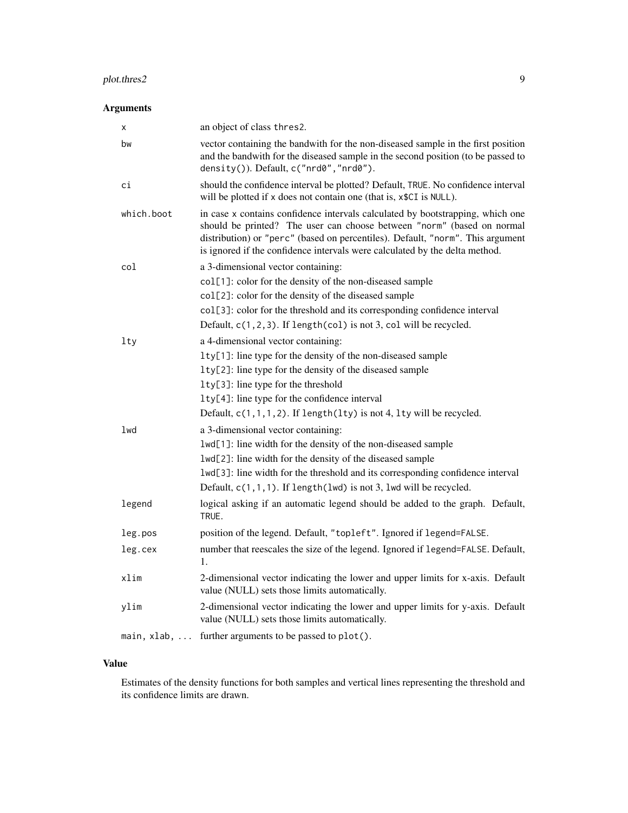# plot.thres2 9

# Arguments

| х                    | an object of class thres2.                                                                                                                                                                                                                                                                                                |
|----------------------|---------------------------------------------------------------------------------------------------------------------------------------------------------------------------------------------------------------------------------------------------------------------------------------------------------------------------|
| bw                   | vector containing the bandwith for the non-diseased sample in the first position<br>and the bandwith for the diseased sample in the second position (to be passed to<br>density()). Default, c("nrd0", "nrd0").                                                                                                           |
| сi                   | should the confidence interval be plotted? Default, TRUE. No confidence interval<br>will be plotted if x does not contain one (that is, x\$CI is NULL).                                                                                                                                                                   |
| which.boot           | in case x contains confidence intervals calculated by bootstrapping, which one<br>should be printed? The user can choose between "norm" (based on normal<br>distribution) or "perc" (based on percentiles). Default, "norm". This argument<br>is ignored if the confidence intervals were calculated by the delta method. |
| col                  | a 3-dimensional vector containing:                                                                                                                                                                                                                                                                                        |
|                      | col[1]: color for the density of the non-diseased sample                                                                                                                                                                                                                                                                  |
|                      | col[2]: color for the density of the diseased sample                                                                                                                                                                                                                                                                      |
|                      | col[3]: color for the threshold and its corresponding confidence interval                                                                                                                                                                                                                                                 |
|                      | Default, $c(1, 2, 3)$ . If length(col) is not 3, col will be recycled.                                                                                                                                                                                                                                                    |
| lty                  | a 4-dimensional vector containing:                                                                                                                                                                                                                                                                                        |
|                      | lty[1]: line type for the density of the non-diseased sample                                                                                                                                                                                                                                                              |
|                      | 1ty[2]: line type for the density of the diseased sample                                                                                                                                                                                                                                                                  |
|                      | lty[3]: line type for the threshold                                                                                                                                                                                                                                                                                       |
|                      | lty[4]: line type for the confidence interval                                                                                                                                                                                                                                                                             |
|                      | Default, $c(1,1,1,2)$ . If length(lty) is not 4, lty will be recycled.                                                                                                                                                                                                                                                    |
| lwd                  | a 3-dimensional vector containing:                                                                                                                                                                                                                                                                                        |
|                      | lwd[1]: line width for the density of the non-diseased sample                                                                                                                                                                                                                                                             |
|                      | lwd[2]: line width for the density of the diseased sample                                                                                                                                                                                                                                                                 |
|                      | lwd[3]: line width for the threshold and its corresponding confidence interval                                                                                                                                                                                                                                            |
|                      | Default, $c(1,1,1)$ . If length(lwd) is not 3, lwd will be recycled.                                                                                                                                                                                                                                                      |
| legend               | logical asking if an automatic legend should be added to the graph. Default,<br>TRUE.                                                                                                                                                                                                                                     |
| leg.pos              | position of the legend. Default, "topleft". Ignored if legend=FALSE.                                                                                                                                                                                                                                                      |
| leg.cex              | number that reescales the size of the legend. Ignored if legend=FALSE. Default,<br>1.                                                                                                                                                                                                                                     |
| xlim                 | 2-dimensional vector indicating the lower and upper limits for x-axis. Default<br>value (NULL) sets those limits automatically.                                                                                                                                                                                           |
| ylim                 | 2-dimensional vector indicating the lower and upper limits for y-axis. Default<br>value (NULL) sets those limits automatically.                                                                                                                                                                                           |
| $main, xlab, \ldots$ | further arguments to be passed to plot().                                                                                                                                                                                                                                                                                 |

# Value

Estimates of the density functions for both samples and vertical lines representing the threshold and its confidence limits are drawn.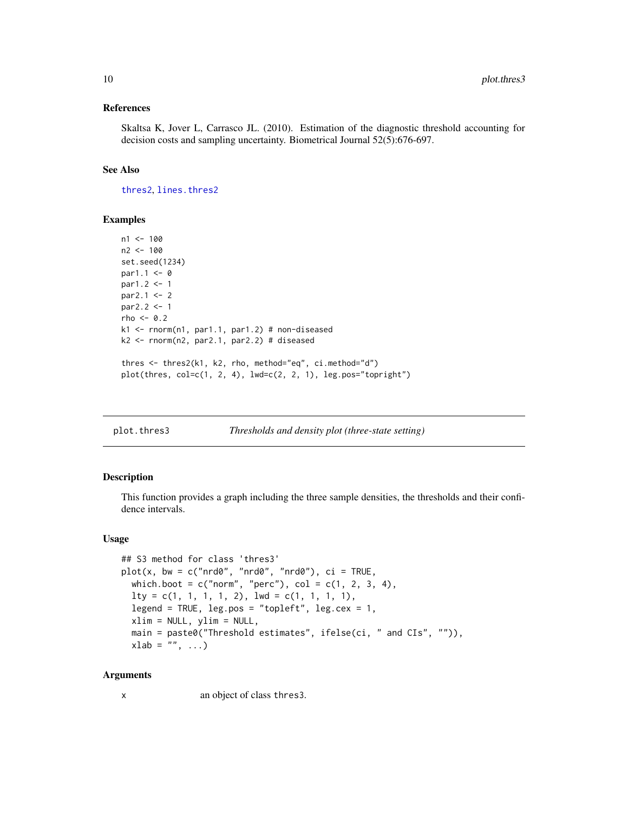#### <span id="page-9-0"></span>References

Skaltsa K, Jover L, Carrasco JL. (2010). Estimation of the diagnostic threshold accounting for decision costs and sampling uncertainty. Biometrical Journal 52(5):676-697.

### See Also

[thres2](#page-17-1), [lines.thres2](#page-4-1)

#### Examples

```
n1 < -100n2 < -100set.seed(1234)
par1.1 < -0par1.2 < -1par2.1 < -2par2.2 < -1rho < -0.2k1 <- rnorm(n1, par1.1, par1.2) # non-diseased
k2 \leq -rnorm(n2, par2.1, par2.2) # diseased
thres <- thres2(k1, k2, rho, method="eq", ci.method="d")
plot(this, col=c(1, 2, 4), lwd=c(2, 2, 1), leg.pos="topright")
```
<span id="page-9-1"></span>

| plot.thres3 | Thresholds and density plot (three-state setting) |
|-------------|---------------------------------------------------|
|             |                                                   |

#### Description

This function provides a graph including the three sample densities, the thresholds and their confidence intervals.

#### Usage

```
## S3 method for class 'thres3'
plot(x, bw = c("nrd0", "nrd0", "nrd0"), ci = TRUE,which.boot = c("norm", "perc"), col = c(1, 2, 3, 4),lty = c(1, 1, 1, 1, 2), lwd = c(1, 1, 1, 1),legend = TRUE, leg.pos = "topleft", leg.cex = 1,
  xlim = NULL, ylim = NULL,
 main = paste0("Threshold estimates", ifelse(ci, " and CIs", "")),
 xlab = "", ...)
```
#### Arguments

x an object of class thres3.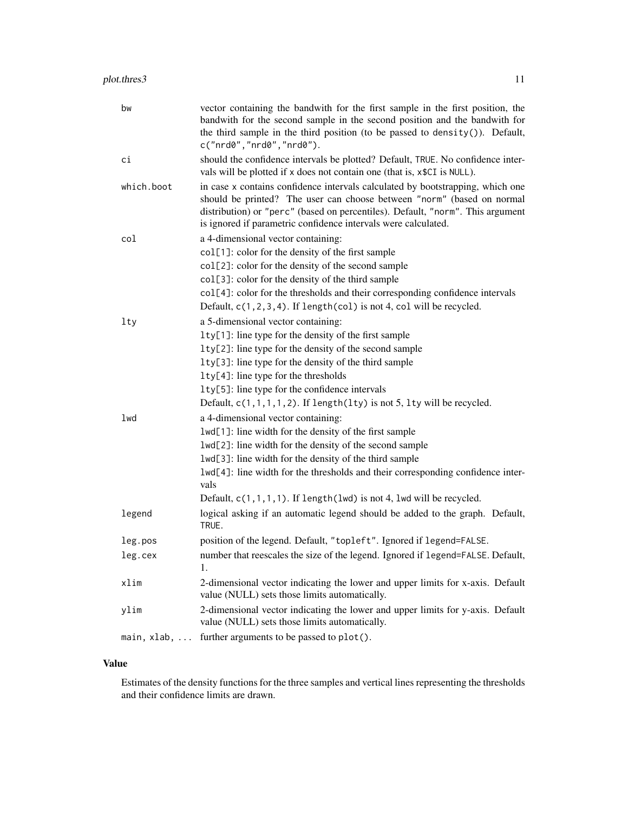| bw                   | vector containing the bandwith for the first sample in the first position, the<br>bandwith for the second sample in the second position and the bandwith for<br>the third sample in the third position (to be passed to density()). Default,<br>c("nrd@", "nrd@", "nrd@").                                   |
|----------------------|--------------------------------------------------------------------------------------------------------------------------------------------------------------------------------------------------------------------------------------------------------------------------------------------------------------|
| сi                   | should the confidence intervals be plotted? Default, TRUE. No confidence inter-<br>vals will be plotted if x does not contain one (that is, x\$CI is NULL).                                                                                                                                                  |
| which.boot           | in case x contains confidence intervals calculated by bootstrapping, which one<br>should be printed? The user can choose between "norm" (based on normal<br>distribution) or "perc" (based on percentiles). Default, "norm". This argument<br>is ignored if parametric confidence intervals were calculated. |
| col                  | a 4-dimensional vector containing:                                                                                                                                                                                                                                                                           |
|                      | col[1]: color for the density of the first sample                                                                                                                                                                                                                                                            |
|                      | col[2]: color for the density of the second sample                                                                                                                                                                                                                                                           |
|                      | col[3]: color for the density of the third sample                                                                                                                                                                                                                                                            |
|                      | col[4]: color for the thresholds and their corresponding confidence intervals                                                                                                                                                                                                                                |
|                      | Default, $c(1, 2, 3, 4)$ . If length(col) is not 4, col will be recycled.                                                                                                                                                                                                                                    |
| lty                  | a 5-dimensional vector containing:                                                                                                                                                                                                                                                                           |
|                      | lty[1]: line type for the density of the first sample                                                                                                                                                                                                                                                        |
|                      | 1ty[2]: line type for the density of the second sample                                                                                                                                                                                                                                                       |
|                      | $lty[3]$ : line type for the density of the third sample                                                                                                                                                                                                                                                     |
|                      | lty[4]: line type for the thresholds                                                                                                                                                                                                                                                                         |
|                      | 1ty[5]: line type for the confidence intervals                                                                                                                                                                                                                                                               |
|                      | Default, $c(1,1,1,1,2)$ . If length(lty) is not 5, lty will be recycled.                                                                                                                                                                                                                                     |
| lwd                  | a 4-dimensional vector containing:                                                                                                                                                                                                                                                                           |
|                      | lwd[1]: line width for the density of the first sample                                                                                                                                                                                                                                                       |
|                      | lwd[2]: line width for the density of the second sample                                                                                                                                                                                                                                                      |
|                      | lwd[3]: line width for the density of the third sample                                                                                                                                                                                                                                                       |
|                      | lwd[4]: line width for the thresholds and their corresponding confidence inter-<br>vals                                                                                                                                                                                                                      |
|                      | Default, $c(1,1,1,1)$ . If length(lwd) is not 4, lwd will be recycled.                                                                                                                                                                                                                                       |
| legend               | logical asking if an automatic legend should be added to the graph. Default,<br>TRUE.                                                                                                                                                                                                                        |
| leg.pos              | position of the legend. Default, "topleft". Ignored if legend=FALSE.                                                                                                                                                                                                                                         |
| leg.cex              | number that reescales the size of the legend. Ignored if legend=FALSE. Default,<br>1.                                                                                                                                                                                                                        |
| xlim                 | 2-dimensional vector indicating the lower and upper limits for x-axis. Default<br>value (NULL) sets those limits automatically.                                                                                                                                                                              |
| ylim                 | 2-dimensional vector indicating the lower and upper limits for y-axis. Default<br>value (NULL) sets those limits automatically.                                                                                                                                                                              |
| $main, xlab, \ldots$ | further arguments to be passed to plot().                                                                                                                                                                                                                                                                    |

# Value

Estimates of the density functions for the three samples and vertical lines representing the thresholds and their confidence limits are drawn.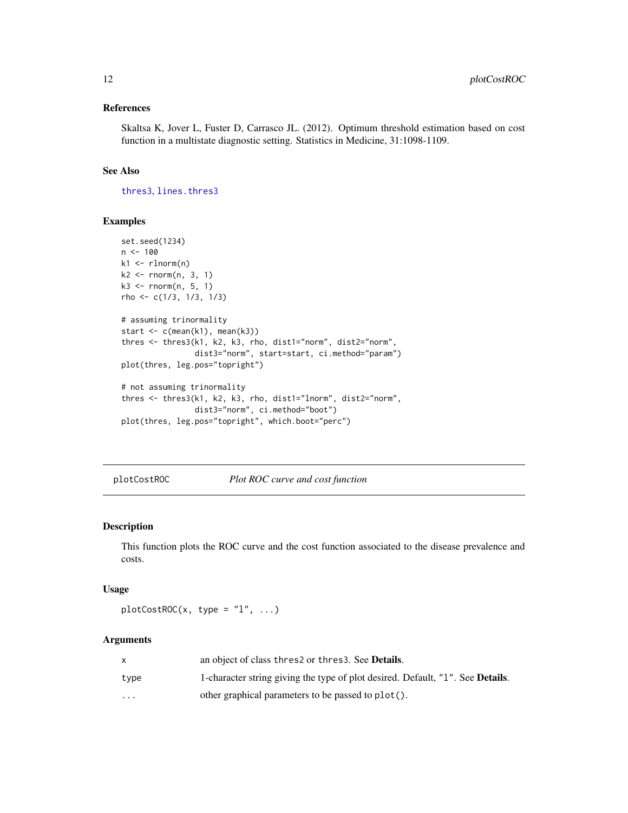#### <span id="page-11-0"></span>References

Skaltsa K, Jover L, Fuster D, Carrasco JL. (2012). Optimum threshold estimation based on cost function in a multistate diagnostic setting. Statistics in Medicine, 31:1098-1109.

#### See Also

[thres3](#page-21-1), [lines.thres3](#page-6-1)

#### Examples

```
set.seed(1234)
n < -100k1 <- rlnorm(n)
k2 \leq -rnorm(n, 3, 1)k3 \leq rnorm(n, 5, 1)rho <- c(1/3, 1/3, 1/3)
# assuming trinormality
start <- c(mean(k1), mean(k3))
thres <- thres3(k1, k2, k3, rho, dist1="norm", dist2="norm",
                dist3="norm", start=start, ci.method="param")
plot(thres, leg.pos="topright")
# not assuming trinormality
thres <- thres3(k1, k2, k3, rho, dist1="lnorm", dist2="norm",
                dist3="norm", ci.method="boot")
plot(thres, leg.pos="topright", which.boot="perc")
```
plotCostROC *Plot ROC curve and cost function*

### Description

This function plots the ROC curve and the cost function associated to the disease prevalence and costs.

# Usage

 $plotCostROC(x, type = "l", ...)$ 

#### **Arguments**

|          | an object of class thres 2 or thres 3. See <b>Details</b> .                    |
|----------|--------------------------------------------------------------------------------|
| type     | 1-character string giving the type of plot desired. Default, "1". See Details. |
| $\cdots$ | other graphical parameters to be passed to plot().                             |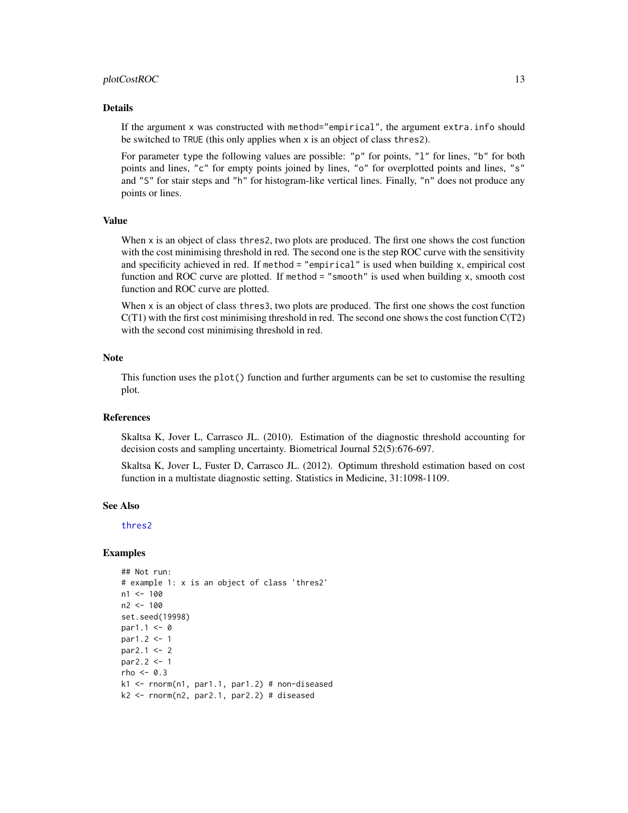#### <span id="page-12-0"></span>plotCostROC 13

#### Details

If the argument x was constructed with method="empirical", the argument extra.info should be switched to TRUE (this only applies when x is an object of class thres2).

For parameter type the following values are possible: "p" for points, "1" for lines, "b" for both points and lines, "c" for empty points joined by lines, "o" for overplotted points and lines, "s" and "S" for stair steps and "h" for histogram-like vertical lines. Finally, "n" does not produce any points or lines.

# Value

When x is an object of class thres2, two plots are produced. The first one shows the cost function with the cost minimising threshold in red. The second one is the step ROC curve with the sensitivity and specificity achieved in red. If method = "empirical" is used when building x, empirical cost function and ROC curve are plotted. If method = "smooth" is used when building x, smooth cost function and ROC curve are plotted.

When x is an object of class thres3, two plots are produced. The first one shows the cost function  $C(T1)$  with the first cost minimising threshold in red. The second one shows the cost function  $C(T2)$ with the second cost minimising threshold in red.

#### **Note**

This function uses the plot() function and further arguments can be set to customise the resulting plot.

# References

Skaltsa K, Jover L, Carrasco JL. (2010). Estimation of the diagnostic threshold accounting for decision costs and sampling uncertainty. Biometrical Journal 52(5):676-697.

Skaltsa K, Jover L, Fuster D, Carrasco JL. (2012). Optimum threshold estimation based on cost function in a multistate diagnostic setting. Statistics in Medicine, 31:1098-1109.

#### See Also

[thres2](#page-17-1)

#### Examples

```
## Not run:
# example 1: x is an object of class 'thres2'
n1 < -100n2 <- 100
set.seed(19998)
par1.1 < -0par1.2 <- 1
par2.1 < -2par2.2 < -1rho \leq -0.3k1 \leq -\text{norm}(n1, \text{par1.1}, \text{par1.2}) # non-diseased
k2 \leq -rnorm(n2, par2.1, par2.2) # diseased
```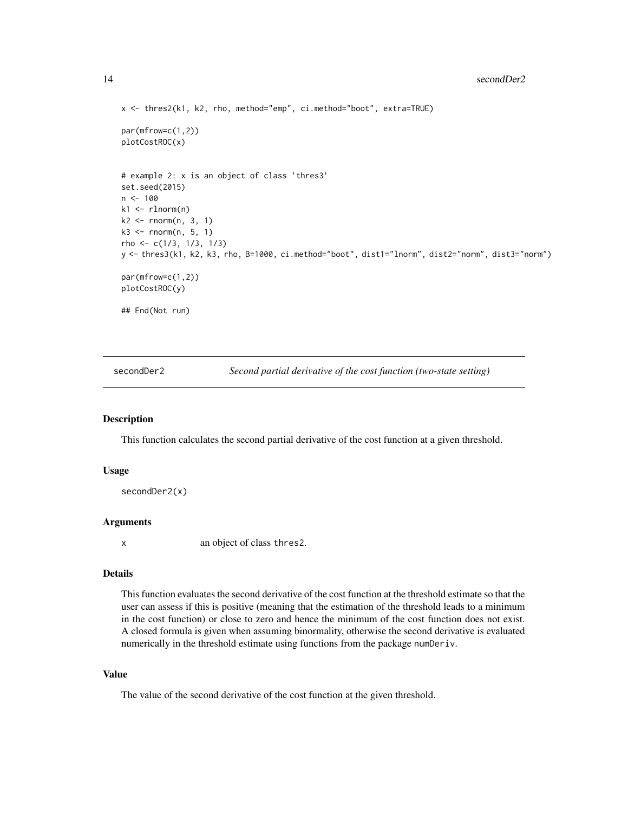#### <span id="page-13-0"></span>14 secondDer2

```
x <- thres2(k1, k2, rho, method="emp", ci.method="boot", extra=TRUE)
par(mfrow=c(1,2))
plotCostROC(x)
# example 2: x is an object of class 'thres3'
set.seed(2015)
n < - 100k1 \leq rlnorm(n)k2 \leq -rnorm(n, 3, 1)k3 \leq rnorm(n, 5, 1)rho <- c(1/3, 1/3, 1/3)
y <- thres3(k1, k2, k3, rho, B=1000, ci.method="boot", dist1="lnorm", dist2="norm", dist3="norm")
par(mfrow=c(1,2))
plotCostROC(y)
## End(Not run)
```
secondDer2 *Second partial derivative of the cost function (two-state setting)*

#### Description

This function calculates the second partial derivative of the cost function at a given threshold.

#### Usage

```
secondDer2(x)
```
#### **Arguments**

x an object of class thres2.

#### Details

This function evaluates the second derivative of the cost function at the threshold estimate so that the user can assess if this is positive (meaning that the estimation of the threshold leads to a minimum in the cost function) or close to zero and hence the minimum of the cost function does not exist. A closed formula is given when assuming binormality, otherwise the second derivative is evaluated numerically in the threshold estimate using functions from the package numDeriv.

#### Value

The value of the second derivative of the cost function at the given threshold.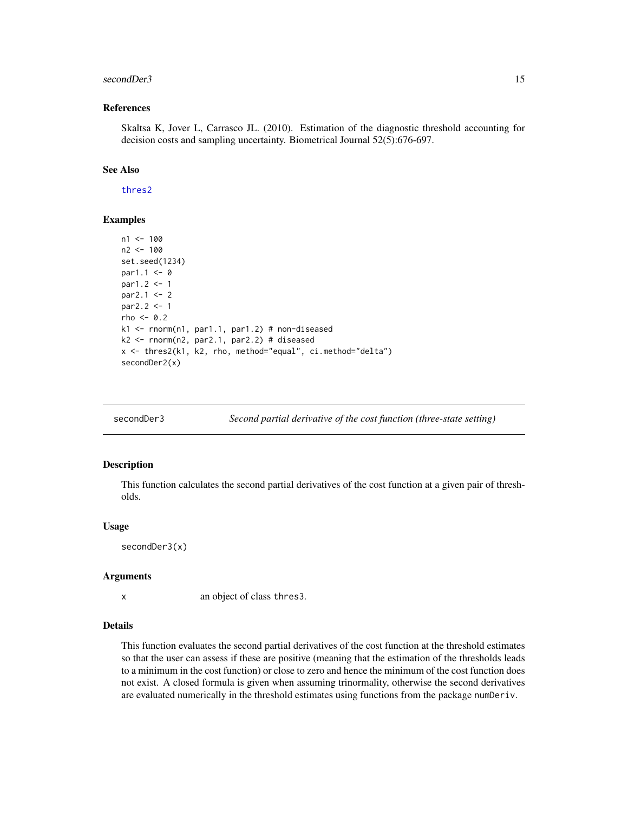#### <span id="page-14-0"></span>secondDer3 15

#### References

Skaltsa K, Jover L, Carrasco JL. (2010). Estimation of the diagnostic threshold accounting for decision costs and sampling uncertainty. Biometrical Journal 52(5):676-697.

#### See Also

[thres2](#page-17-1)

#### Examples

```
n1 < -100n2 <- 100
set.seed(1234)
par1.1 < -0par1.2 < -1par2.1 < -2par2.2 < -1rho <-0.2k1 <- rnorm(n1, par1.1, par1.2) # non-diseased
k2 <- rnorm(n2, par2.1, par2.2) # diseased
x <- thres2(k1, k2, rho, method="equal", ci.method="delta")
secondDer2(x)
```

| secondDer3 |  |  |  | Second partial derivative of the cost function (three-state setting) |  |
|------------|--|--|--|----------------------------------------------------------------------|--|
|            |  |  |  |                                                                      |  |

#### Description

This function calculates the second partial derivatives of the cost function at a given pair of thresholds.

#### Usage

secondDer3(x)

#### Arguments

x an object of class thres3.

#### Details

This function evaluates the second partial derivatives of the cost function at the threshold estimates so that the user can assess if these are positive (meaning that the estimation of the thresholds leads to a minimum in the cost function) or close to zero and hence the minimum of the cost function does not exist. A closed formula is given when assuming trinormality, otherwise the second derivatives are evaluated numerically in the threshold estimates using functions from the package numDeriv.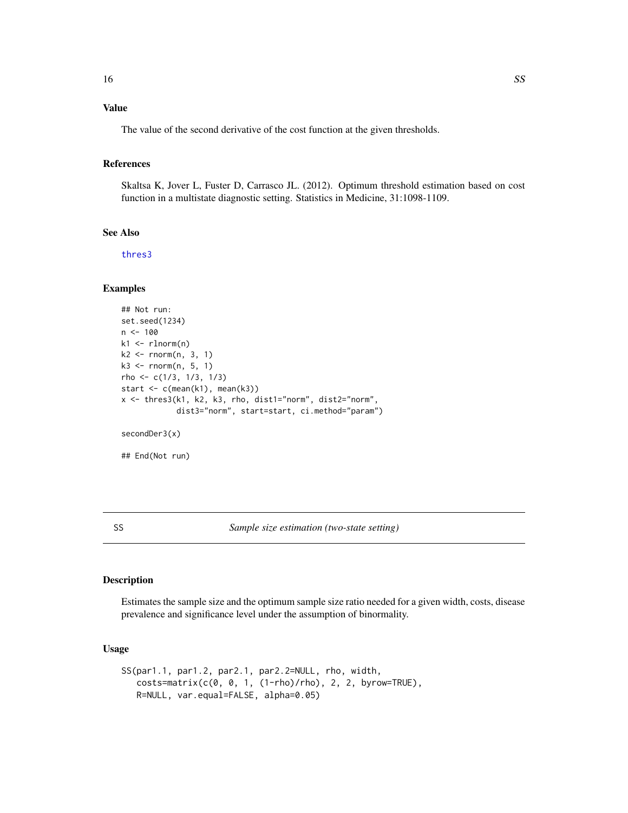# <span id="page-15-0"></span>Value

The value of the second derivative of the cost function at the given thresholds.

# References

Skaltsa K, Jover L, Fuster D, Carrasco JL. (2012). Optimum threshold estimation based on cost function in a multistate diagnostic setting. Statistics in Medicine, 31:1098-1109.

# See Also

[thres3](#page-21-1)

# Examples

```
## Not run:
set.seed(1234)
n < - 100k1 \leq rlnorm(n)k2 \leq -rnorm(n, 3, 1)k3 \leq -rnorm(n, 5, 1)rho <- c(1/3, 1/3, 1/3)
start \leq c(mean(k1), mean(k3))
x <- thres3(k1, k2, k3, rho, dist1="norm", dist2="norm",
            dist3="norm", start=start, ci.method="param")
secondDer3(x)
## End(Not run)
```
SS *Sample size estimation (two-state setting)*

#### Description

Estimates the sample size and the optimum sample size ratio needed for a given width, costs, disease prevalence and significance level under the assumption of binormality.

# Usage

```
SS(par1.1, par1.2, par2.1, par2.2=NULL, rho, width,
   costs=matrix(c(0, 0, 1, (1-rho)/rho), 2, 2, byrow=TRUE),
  R=NULL, var.equal=FALSE, alpha=0.05)
```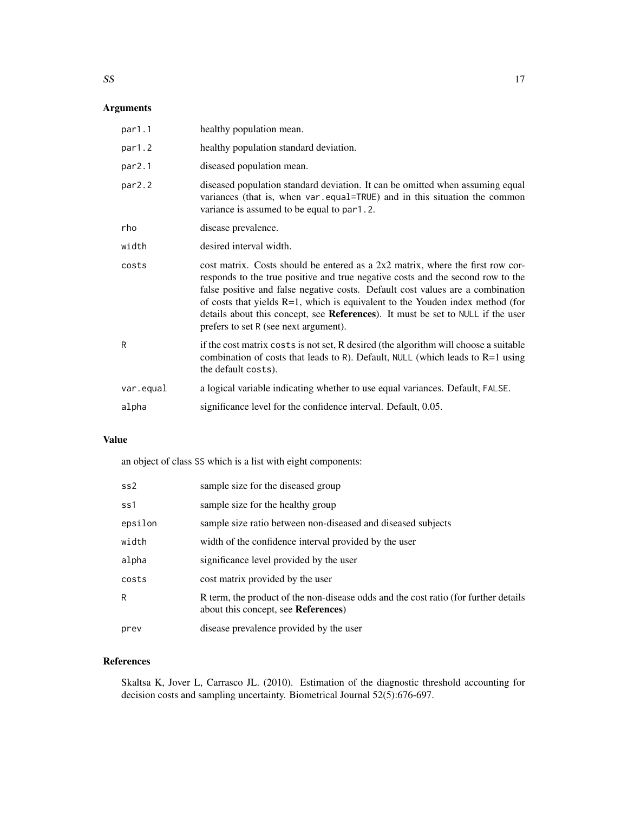# Arguments

| par1.1       | healthy population mean.                                                                                                                                                                                                                                                                                                                                                                                                                                              |
|--------------|-----------------------------------------------------------------------------------------------------------------------------------------------------------------------------------------------------------------------------------------------------------------------------------------------------------------------------------------------------------------------------------------------------------------------------------------------------------------------|
| par1.2       | healthy population standard deviation.                                                                                                                                                                                                                                                                                                                                                                                                                                |
| par2.1       | diseased population mean.                                                                                                                                                                                                                                                                                                                                                                                                                                             |
| par2.2       | diseased population standard deviation. It can be omitted when assuming equal<br>variances (that is, when var.equal=TRUE) and in this situation the common<br>variance is assumed to be equal to par1.2.                                                                                                                                                                                                                                                              |
| rho          | disease prevalence.                                                                                                                                                                                                                                                                                                                                                                                                                                                   |
| width        | desired interval width.                                                                                                                                                                                                                                                                                                                                                                                                                                               |
| costs        | cost matrix. Costs should be entered as a $2x2$ matrix, where the first row cor-<br>responds to the true positive and true negative costs and the second row to the<br>false positive and false negative costs. Default cost values are a combination<br>of costs that yields $R=1$ , which is equivalent to the Youden index method (for<br>details about this concept, see References). It must be set to NULL if the user<br>prefers to set R (see next argument). |
| $\mathsf{R}$ | if the cost matrix costs is not set, R desired (the algorithm will choose a suitable<br>combination of costs that leads to R). Default, NULL (which leads to $R=1$ using<br>the default costs).                                                                                                                                                                                                                                                                       |
| var.equal    | a logical variable indicating whether to use equal variances. Default, FALSE.                                                                                                                                                                                                                                                                                                                                                                                         |
| alpha        | significance level for the confidence interval. Default, 0.05.                                                                                                                                                                                                                                                                                                                                                                                                        |

# Value

an object of class SS which is a list with eight components:

| ss2     | sample size for the diseased group                                                                                                 |
|---------|------------------------------------------------------------------------------------------------------------------------------------|
| ss1     | sample size for the healthy group                                                                                                  |
| epsilon | sample size ratio between non-diseased and diseased subjects                                                                       |
| width   | width of the confidence interval provided by the user                                                                              |
| alpha   | significance level provided by the user                                                                                            |
| costs   | cost matrix provided by the user                                                                                                   |
| R       | R term, the product of the non-disease odds and the cost ratio (for further details<br>about this concept, see <b>References</b> ) |
| prev    | disease prevalence provided by the user                                                                                            |

# References

Skaltsa K, Jover L, Carrasco JL. (2010). Estimation of the diagnostic threshold accounting for decision costs and sampling uncertainty. Biometrical Journal 52(5):676-697.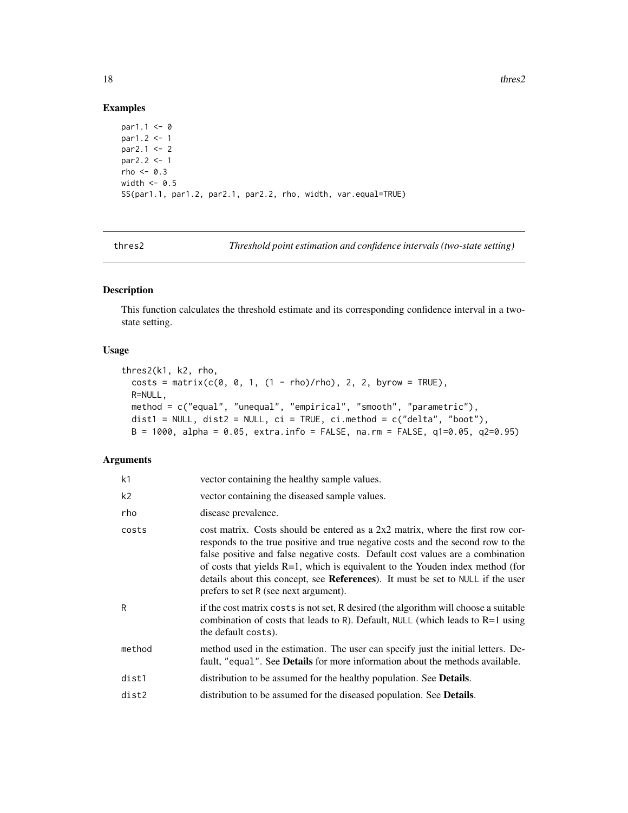18 thres2

#### Examples

```
par1.1 < -0par1.2 < -1par2.1 < -2par2.2 < -1rho <-0.3width <-0.5SS(par1.1, par1.2, par2.1, par2.2, rho, width, var.equal=TRUE)
```
thres2 *Threshold point estimation and confidence intervals (two-state setting)*

# Description

This function calculates the threshold estimate and its corresponding confidence interval in a twostate setting.

# Usage

```
thres2(k1, k2, rho,
 costs = matrix(c(0, 0, 1, (1 - rho)/rho), 2, 2, byrow = TRUE),R=NULL,
 method = c("equal", "unequal", "empirical", "smooth", "parametric"),
 dist1 = NULL, dist2 = NULL, ci = TRUE, ci.method = c("delta", "boot"),B = 1000, alpha = 0.05, extra.info = FALSE, na.rm = FALSE, q1=0.05, q2=0.95)
```
#### Arguments

| k1     | vector containing the healthy sample values.                                                                                                                                                                                                                                                                                                                                                                                                                          |
|--------|-----------------------------------------------------------------------------------------------------------------------------------------------------------------------------------------------------------------------------------------------------------------------------------------------------------------------------------------------------------------------------------------------------------------------------------------------------------------------|
| k2     | vector containing the diseased sample values.                                                                                                                                                                                                                                                                                                                                                                                                                         |
| rho    | disease prevalence.                                                                                                                                                                                                                                                                                                                                                                                                                                                   |
| costs  | cost matrix. Costs should be entered as a $2x2$ matrix, where the first row cor-<br>responds to the true positive and true negative costs and the second row to the<br>false positive and false negative costs. Default cost values are a combination<br>of costs that yields $R=1$ , which is equivalent to the Youden index method (for<br>details about this concept, see References). It must be set to NULL if the user<br>prefers to set R (see next argument). |
| R      | if the cost matrix costs is not set, R desired (the algorithm will choose a suitable<br>combination of costs that leads to R). Default, NULL (which leads to $R=1$ using<br>the default costs).                                                                                                                                                                                                                                                                       |
| method | method used in the estimation. The user can specify just the initial letters. De-<br>fault, "equal". See <b>Details</b> for more information about the methods available.                                                                                                                                                                                                                                                                                             |
| dist1  | distribution to be assumed for the healthy population. See <b>Details</b> .                                                                                                                                                                                                                                                                                                                                                                                           |
| dist2  | distribution to be assumed for the diseased population. See <b>Details</b> .                                                                                                                                                                                                                                                                                                                                                                                          |
|        |                                                                                                                                                                                                                                                                                                                                                                                                                                                                       |

<span id="page-17-0"></span>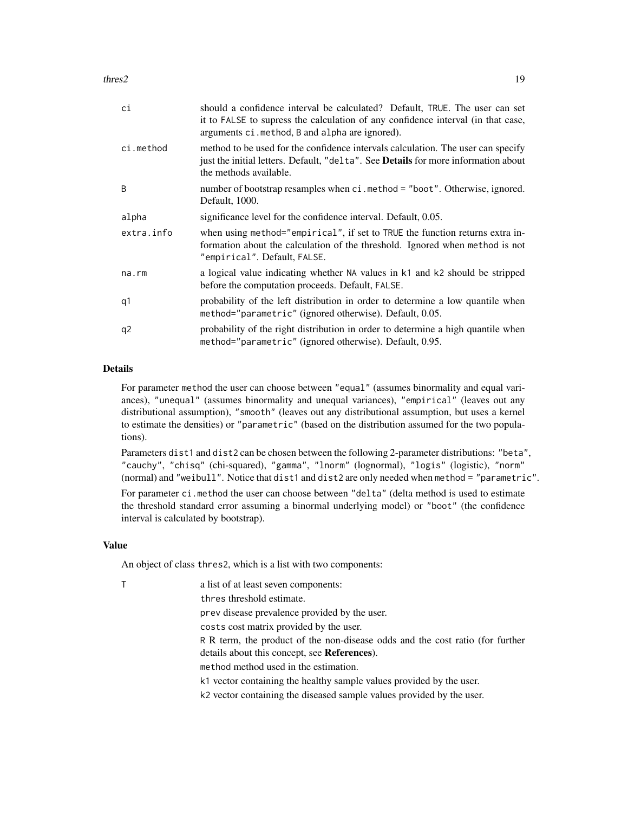thres 2 and 2 and 2 and 2 and 2 and 2 and 2 and 2 and 2 and 2 and 2 and 2 and 2 and 2 and 2 and 2 and 2 and 2 and 2 and 2 and 2 and 2 and 2 and 2 and 2 and 2 and 2 and 2 and 2 and 2 and 2 and 2 and 2 and 2 and 2 and 2 and

| сi         | should a confidence interval be calculated? Default, TRUE. The user can set<br>it to FALSE to supress the calculation of any confidence interval (in that case,<br>arguments ci. method, B and alpha are ignored). |
|------------|--------------------------------------------------------------------------------------------------------------------------------------------------------------------------------------------------------------------|
| ci.method  | method to be used for the confidence intervals calculation. The user can specify<br>just the initial letters. Default, "delta". See Details for more information about<br>the methods available.                   |
| B          | number of bootstrap resamples when ci.method = "boot". Otherwise, ignored.<br>Default, 1000.                                                                                                                       |
| alpha      | significance level for the confidence interval. Default, 0.05.                                                                                                                                                     |
| extra.info | when using method="empirical", if set to TRUE the function returns extra in-<br>formation about the calculation of the threshold. Ignored when method is not<br>"empirical". Default, FALSE.                       |
| na.rm      | a logical value indicating whether NA values in k1 and k2 should be stripped<br>before the computation proceeds. Default, FALSE.                                                                                   |
| q1         | probability of the left distribution in order to determine a low quantile when<br>method="parametric" (ignored otherwise). Default, 0.05.                                                                          |
| q2         | probability of the right distribution in order to determine a high quantile when<br>method="parametric" (ignored otherwise). Default, 0.95.                                                                        |

# Details

For parameter method the user can choose between "equal" (assumes binormality and equal variances), "unequal" (assumes binormality and unequal variances), "empirical" (leaves out any distributional assumption), "smooth" (leaves out any distributional assumption, but uses a kernel to estimate the densities) or "parametric" (based on the distribution assumed for the two populations).

Parameters dist1 and dist2 can be chosen between the following 2-parameter distributions: "beta", "cauchy", "chisq" (chi-squared), "gamma", "lnorm" (lognormal), "logis" (logistic), "norm" (normal) and "weibull". Notice that dist1 and dist2 are only needed when method = "parametric". For parameter ci.method the user can choose between "delta" (delta method is used to estimate the threshold standard error assuming a binormal underlying model) or "boot" (the confidence interval is calculated by bootstrap).

#### Value

An object of class thres2, which is a list with two components:

|  | a list of at least seven components:                                          |
|--|-------------------------------------------------------------------------------|
|  | thres threshold estimate.                                                     |
|  | prev disease prevalence provided by the user.                                 |
|  | costs cost matrix provided by the user.                                       |
|  | R R term, the product of the non-disease odds and the cost ratio (for further |
|  | details about this concept, see <b>References</b> ).                          |
|  | method method used in the estimation.                                         |
|  | k1 vector containing the healthy sample values provided by the user.          |
|  | k2 vector containing the diseased sample values provided by the user.         |
|  |                                                                               |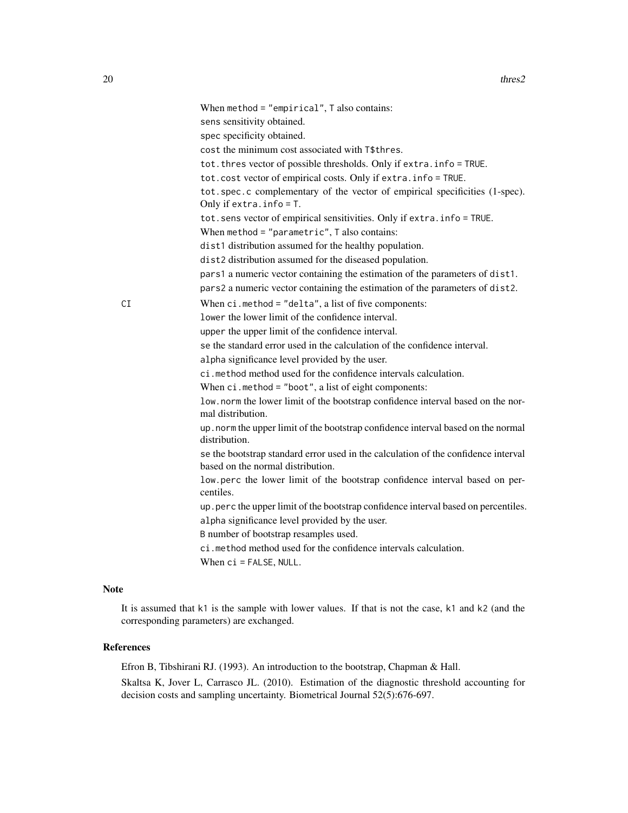|    | When $method = "empirical", T also contains:$<br>sens sensitivity obtained.                                                           |
|----|---------------------------------------------------------------------------------------------------------------------------------------|
|    | spec specificity obtained.                                                                                                            |
|    | cost the minimum cost associated with T\$thres.                                                                                       |
|    | tot. thres vector of possible thresholds. Only if extra. info = TRUE.                                                                 |
|    | tot.cost vector of empirical costs. Only if extra.info = TRUE.                                                                        |
|    | tot.spec.c complementary of the vector of empirical specificities (1-spec).<br>Only if extra. $info = T$ .                            |
|    | tot.sens vector of empirical sensitivities. Only if extra.info = TRUE.                                                                |
|    | When method = $"parameteric",$ T also contains:                                                                                       |
|    | dist1 distribution assumed for the healthy population.                                                                                |
|    | dist2 distribution assumed for the diseased population.                                                                               |
|    | pars1 a numeric vector containing the estimation of the parameters of dist1.                                                          |
|    | pars2 a numeric vector containing the estimation of the parameters of dist2.                                                          |
| СI | When $ci$ . method = "delta", a list of five components:                                                                              |
|    | lower the lower limit of the confidence interval.                                                                                     |
|    | upper the upper limit of the confidence interval.                                                                                     |
|    | se the standard error used in the calculation of the confidence interval.                                                             |
|    | alpha significance level provided by the user.                                                                                        |
|    | ci.method method used for the confidence intervals calculation.                                                                       |
|    | When $ci$ . method = "boot", a list of eight components:                                                                              |
|    | low.norm the lower limit of the bootstrap confidence interval based on the nor-<br>mal distribution.                                  |
|    | up. norm the upper limit of the bootstrap confidence interval based on the normal<br>distribution.                                    |
|    | se the bootstrap standard error used in the calculation of the confidence interval<br>based on the normal distribution.               |
|    | low perc the lower limit of the bootstrap confidence interval based on per-<br>centiles.                                              |
|    | up. perc the upper limit of the bootstrap confidence interval based on percentiles.<br>alpha significance level provided by the user. |
|    | B number of bootstrap resamples used.                                                                                                 |
|    | ci.method method used for the confidence intervals calculation.                                                                       |
|    | When ci = FALSE, NULL.                                                                                                                |
|    |                                                                                                                                       |

# Note

It is assumed that k1 is the sample with lower values. If that is not the case, k1 and k2 (and the corresponding parameters) are exchanged.

#### References

Efron B, Tibshirani RJ. (1993). An introduction to the bootstrap, Chapman & Hall.

Skaltsa K, Jover L, Carrasco JL. (2010). Estimation of the diagnostic threshold accounting for decision costs and sampling uncertainty. Biometrical Journal 52(5):676-697.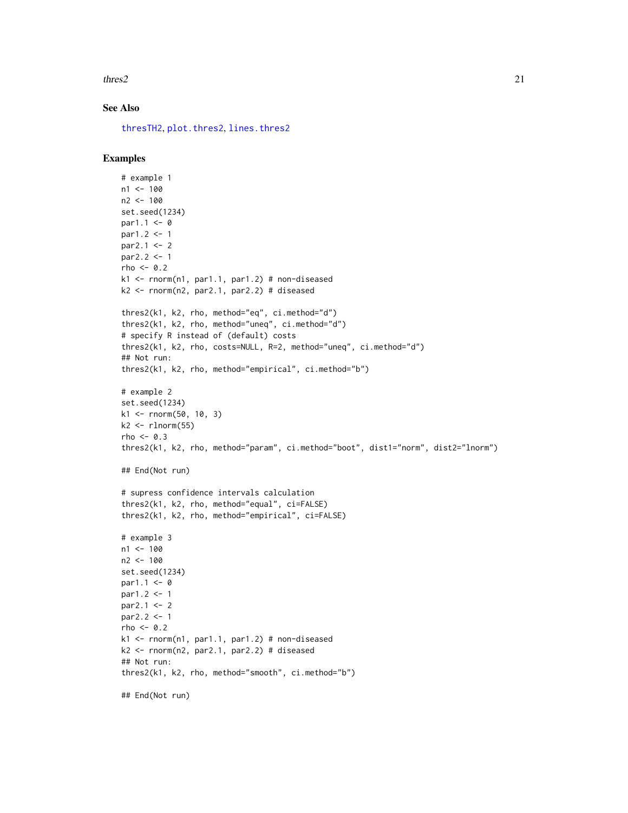<span id="page-20-0"></span> $\text{thres2}$  21

# See Also

[thresTH2](#page-25-1), [plot.thres2](#page-7-1), [lines.thres2](#page-4-1)

# Examples

```
# example 1
n1 < -100n2 <- 100
set.seed(1234)
par1.1 < -0par1.2 < -1par2.1 < -2par2.2 < -1rho <-0.2k1 \leq -\text{norm}(n1, \text{par1.1}, \text{par1.2}) # non-diseased
k2 \leq -rnorm(n2, par2.1, par2.2) # diseased
thres2(k1, k2, rho, method="eq", ci.method="d")
thres2(k1, k2, rho, method="uneq", ci.method="d")
# specify R instead of (default) costs
thres2(k1, k2, rho, costs=NULL, R=2, method="uneq", ci.method="d")
## Not run:
thres2(k1, k2, rho, method="empirical", ci.method="b")
# example 2
set.seed(1234)
k1 <- rnorm(50, 10, 3)
k2 \leq -\text{rlnorm}(55)rho <-0.3thres2(k1, k2, rho, method="param", ci.method="boot", dist1="norm", dist2="lnorm")
## End(Not run)
# supress confidence intervals calculation
thres2(k1, k2, rho, method="equal", ci=FALSE)
thres2(k1, k2, rho, method="empirical", ci=FALSE)
# example 3
n1 < -100n2 <- 100
set.seed(1234)
par1.1 < -0par1.2 < -1par2.1 <- 2
par2.2 < -1rho <-0.2k1 <- rnorm(n1, par1.1, par1.2) # non-diseased
k2 \leq -rnorm(n2, par2.1, par2.2) # diseased
## Not run:
thres2(k1, k2, rho, method="smooth", ci.method="b")
## End(Not run)
```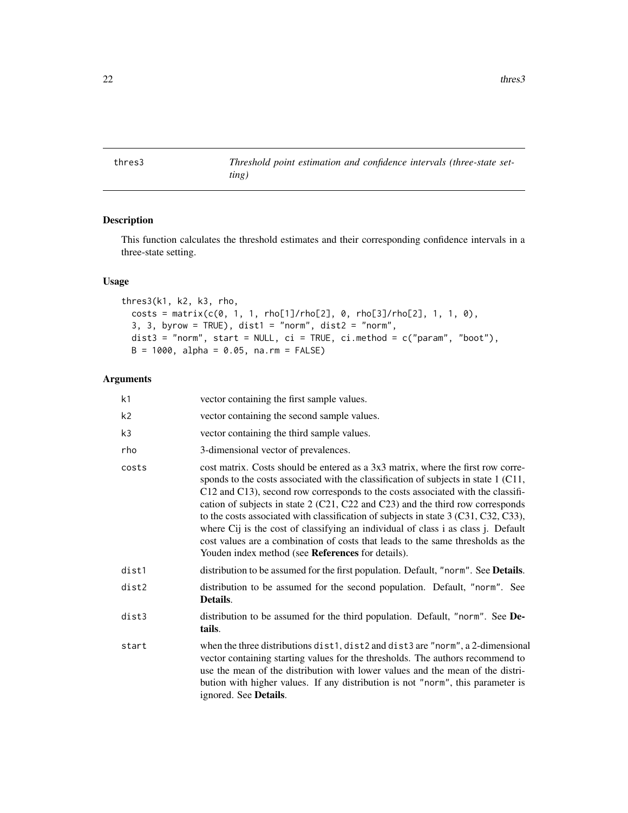<span id="page-21-1"></span><span id="page-21-0"></span>thres3 *Threshold point estimation and confidence intervals (three-state setting)*

# Description

This function calculates the threshold estimates and their corresponding confidence intervals in a three-state setting.

# Usage

```
thres3(k1, k2, k3, rho,
 costs = matrix(c(0, 1, 1, rho[1]/rho[2], 0, rho[3]/rho[2], 1, 1, 0),3, 3, byrow = TRUE, dist1 = "norm", dist2 = "norm",dist3 = "norm", start = NULL, ci = TRUE, ci.method = c("param", "boot"),
 B = 1000, alpha = 0.05, na.rm = FALSE)
```
# Arguments

| k1    | vector containing the first sample values.                                                                                                                                                                                                                                                                                                                                                                                                                                                                                                                                                                                                                         |
|-------|--------------------------------------------------------------------------------------------------------------------------------------------------------------------------------------------------------------------------------------------------------------------------------------------------------------------------------------------------------------------------------------------------------------------------------------------------------------------------------------------------------------------------------------------------------------------------------------------------------------------------------------------------------------------|
| k2    | vector containing the second sample values.                                                                                                                                                                                                                                                                                                                                                                                                                                                                                                                                                                                                                        |
| k3    | vector containing the third sample values.                                                                                                                                                                                                                                                                                                                                                                                                                                                                                                                                                                                                                         |
| rho   | 3-dimensional vector of prevalences.                                                                                                                                                                                                                                                                                                                                                                                                                                                                                                                                                                                                                               |
| costs | cost matrix. Costs should be entered as a 3x3 matrix, where the first row corre-<br>sponds to the costs associated with the classification of subjects in state 1 (C11,<br>C12 and C13), second row corresponds to the costs associated with the classifi-<br>cation of subjects in state $2$ (C21, C22 and C23) and the third row corresponds<br>to the costs associated with classification of subjects in state 3 (C31, C32, C33),<br>where Cij is the cost of classifying an individual of class i as class j. Default<br>cost values are a combination of costs that leads to the same thresholds as the<br>Youden index method (see References for details). |
| dist1 | distribution to be assumed for the first population. Default, "norm". See Details.                                                                                                                                                                                                                                                                                                                                                                                                                                                                                                                                                                                 |
| dist2 | distribution to be assumed for the second population. Default, "norm". See<br>Details.                                                                                                                                                                                                                                                                                                                                                                                                                                                                                                                                                                             |
| dist3 | distribution to be assumed for the third population. Default, "norm". See De-<br>tails.                                                                                                                                                                                                                                                                                                                                                                                                                                                                                                                                                                            |
| start | when the three distributions dist1, dist2 and dist3 are "norm", a 2-dimensional<br>vector containing starting values for the thresholds. The authors recommend to<br>use the mean of the distribution with lower values and the mean of the distri-<br>bution with higher values. If any distribution is not "norm", this parameter is<br>ignored. See <b>Details</b> .                                                                                                                                                                                                                                                                                            |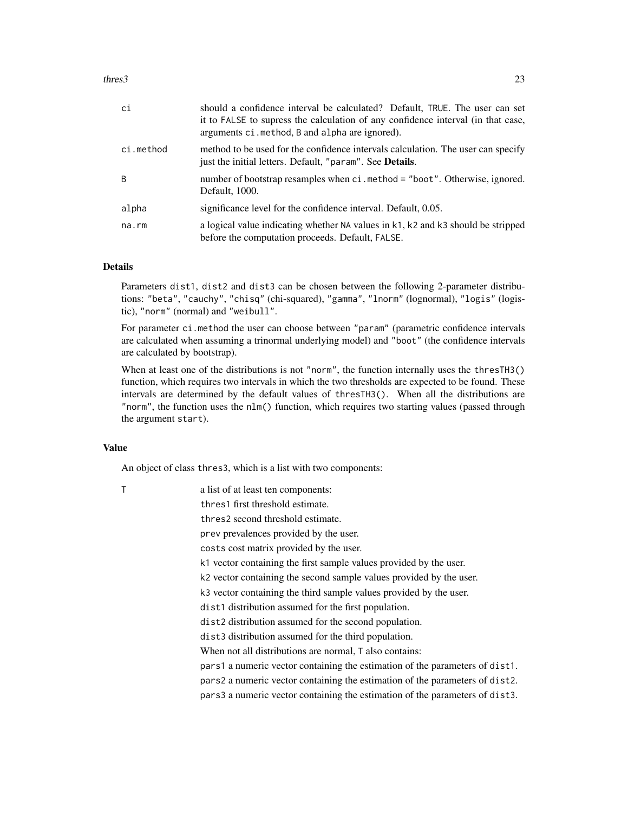#### thres3 23

| сi        | should a confidence interval be calculated? Default, TRUE. The user can set<br>it to FALSE to supress the calculation of any confidence interval (in that case,<br>arguments ci. method, B and alpha are ignored). |
|-----------|--------------------------------------------------------------------------------------------------------------------------------------------------------------------------------------------------------------------|
| ci.method | method to be used for the confidence intervals calculation. The user can specify<br>just the initial letters. Default, "param". See Details.                                                                       |
| B         | number of bootstrap resamples when ci.method = "boot". Otherwise, ignored.<br>Default, 1000.                                                                                                                       |
| alpha     | significance level for the confidence interval. Default, 0.05.                                                                                                                                                     |
| na.rm     | a logical value indicating whether NA values in k1, k2 and k3 should be stripped<br>before the computation proceeds. Default, FALSE.                                                                               |

# Details

Parameters dist1, dist2 and dist3 can be chosen between the following 2-parameter distributions: "beta", "cauchy", "chisq" (chi-squared), "gamma", "lnorm" (lognormal), "logis" (logistic), "norm" (normal) and "weibull".

For parameter ci.method the user can choose between "param" (parametric confidence intervals are calculated when assuming a trinormal underlying model) and "boot" (the confidence intervals are calculated by bootstrap).

When at least one of the distributions is not "norm", the function internally uses the thresTH3() function, which requires two intervals in which the two thresholds are expected to be found. These intervals are determined by the default values of thresTH3(). When all the distributions are "norm", the function uses the nlm() function, which requires two starting values (passed through the argument start).

#### Value

An object of class thres3, which is a list with two components:

| T | a list of at least ten components:                                            |
|---|-------------------------------------------------------------------------------|
|   | thres1 first threshold estimate.                                              |
|   | thres2 second threshold estimate.                                             |
|   | prev prevalences provided by the user.                                        |
|   | costs cost matrix provided by the user.                                       |
|   | k1 vector containing the first sample values provided by the user.            |
|   | k2 vector containing the second sample values provided by the user.           |
|   | k3 vector containing the third sample values provided by the user.            |
|   | dist1 distribution assumed for the first population.                          |
|   | dist2 distribution assumed for the second population.                         |
|   | dist3 distribution assumed for the third population.                          |
|   | When not all distributions are normal, T also contains:                       |
|   | pars1 a numeric vector containing the estimation of the parameters of dist1.  |
|   | pars 2 a numeric vector containing the estimation of the parameters of dist2. |
|   | pars 3 a numeric vector containing the estimation of the parameters of dist3. |
|   |                                                                               |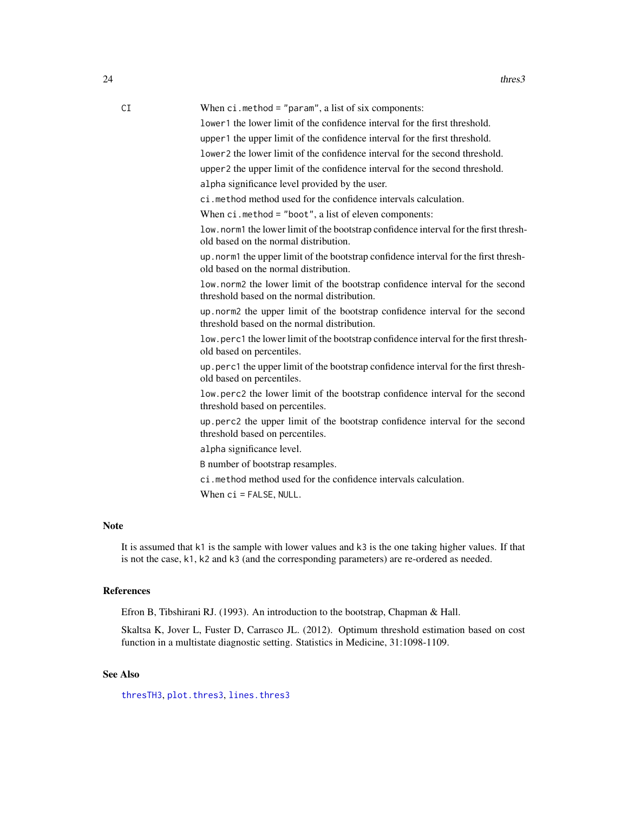| ۰,<br>۰. | t |
|----------|---|
| I        |   |

<span id="page-23-0"></span>CI When ci.method = "param", a list of six components:

lower1 the lower limit of the confidence interval for the first threshold.

upper1 the upper limit of the confidence interval for the first threshold.

lower2 the lower limit of the confidence interval for the second threshold.

upper2 the upper limit of the confidence interval for the second threshold.

alpha significance level provided by the user.

ci.method method used for the confidence intervals calculation.

When ci.method = "boot", a list of eleven components:

low.norm1 the lower limit of the bootstrap confidence interval for the first threshold based on the normal distribution.

up.norm1 the upper limit of the bootstrap confidence interval for the first threshold based on the normal distribution.

low.norm2 the lower limit of the bootstrap confidence interval for the second threshold based on the normal distribution.

up.norm2 the upper limit of the bootstrap confidence interval for the second threshold based on the normal distribution.

low.perc1 the lower limit of the bootstrap confidence interval for the first threshold based on percentiles.

up.perc1 the upper limit of the bootstrap confidence interval for the first threshold based on percentiles.

low.perc2 the lower limit of the bootstrap confidence interval for the second threshold based on percentiles.

up.perc2 the upper limit of the bootstrap confidence interval for the second threshold based on percentiles.

alpha significance level.

B number of bootstrap resamples.

ci.method method used for the confidence intervals calculation.

When ci = FALSE, NULL.

# Note

It is assumed that k1 is the sample with lower values and k3 is the one taking higher values. If that is not the case, k1, k2 and k3 (and the corresponding parameters) are re-ordered as needed.

#### References

Efron B, Tibshirani RJ. (1993). An introduction to the bootstrap, Chapman & Hall.

Skaltsa K, Jover L, Fuster D, Carrasco JL. (2012). Optimum threshold estimation based on cost function in a multistate diagnostic setting. Statistics in Medicine, 31:1098-1109.

# See Also

[thresTH3](#page-27-1), [plot.thres3](#page-9-1), [lines.thres3](#page-6-1)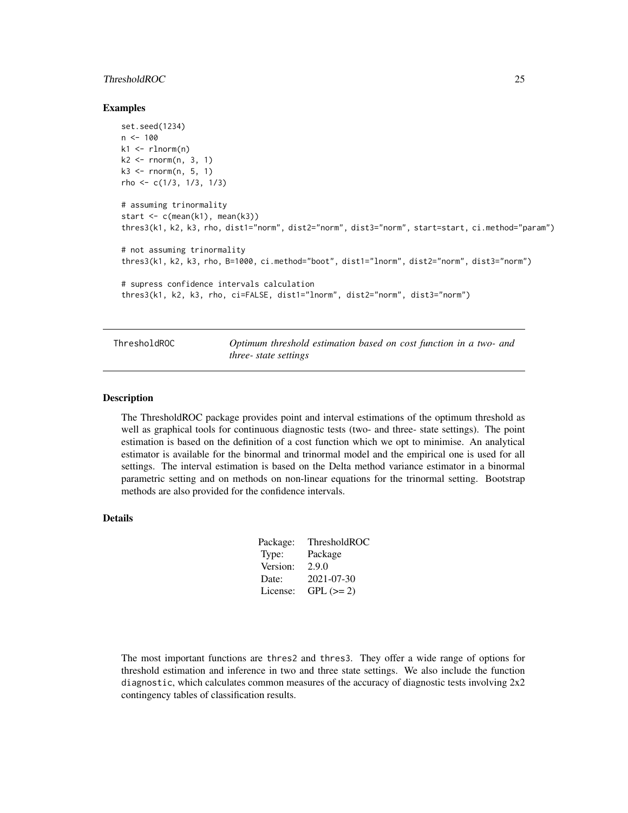# <span id="page-24-0"></span>ThresholdROC 25

#### Examples

```
set.seed(1234)
n < -100k1 \leq r \ln \text{norm}(n)k2 \leq -rnorm(n, 3, 1)k3 <- rnorm(n, 5, 1)
rho <- c(1/3, 1/3, 1/3)
# assuming trinormality
start \leq c(mean(k1), mean(k3))
thres3(k1, k2, k3, rho, dist1="norm", dist2="norm", dist3="norm", start=start, ci.method="param")
# not assuming trinormality
thres3(k1, k2, k3, rho, B=1000, ci.method="boot", dist1="lnorm", dist2="norm", dist3="norm")
# supress confidence intervals calculation
thres3(k1, k2, k3, rho, ci=FALSE, dist1="lnorm", dist2="norm", dist3="norm")
```
ThresholdROC *Optimum threshold estimation based on cost function in a two- and three- state settings*

#### Description

The ThresholdROC package provides point and interval estimations of the optimum threshold as well as graphical tools for continuous diagnostic tests (two- and three- state settings). The point estimation is based on the definition of a cost function which we opt to minimise. An analytical estimator is available for the binormal and trinormal model and the empirical one is used for all settings. The interval estimation is based on the Delta method variance estimator in a binormal parametric setting and on methods on non-linear equations for the trinormal setting. Bootstrap methods are also provided for the confidence intervals.

#### Details

| Package: | ThresholdROC |
|----------|--------------|
| Type:    | Package      |
| Version: | 2.9.0        |
| Date:    | 2021-07-30   |
| License: | $GPL (= 2)$  |
|          |              |

The most important functions are thres2 and thres3. They offer a wide range of options for threshold estimation and inference in two and three state settings. We also include the function diagnostic, which calculates common measures of the accuracy of diagnostic tests involving 2x2 contingency tables of classification results.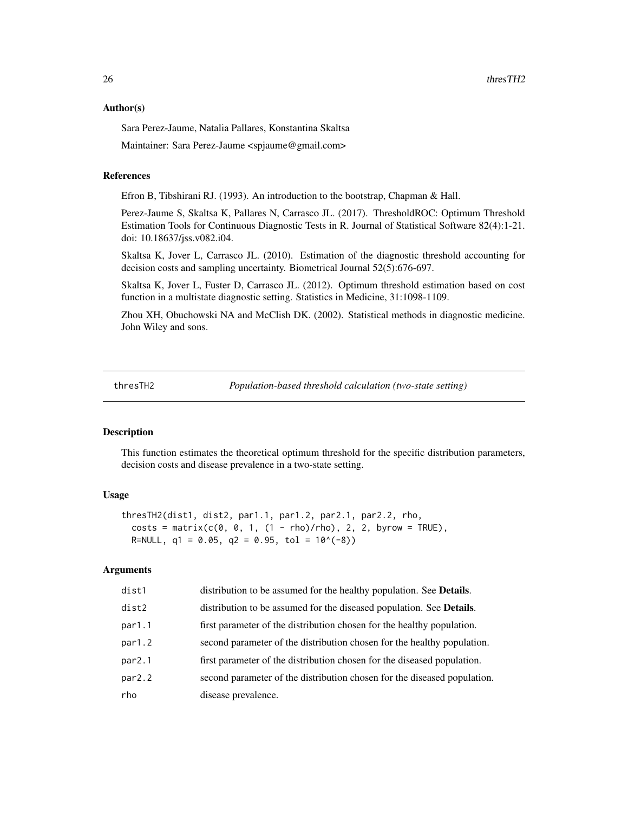#### <span id="page-25-0"></span>Author(s)

Sara Perez-Jaume, Natalia Pallares, Konstantina Skaltsa

Maintainer: Sara Perez-Jaume <spjaume@gmail.com>

#### References

Efron B, Tibshirani RJ. (1993). An introduction to the bootstrap, Chapman & Hall.

Perez-Jaume S, Skaltsa K, Pallares N, Carrasco JL. (2017). ThresholdROC: Optimum Threshold Estimation Tools for Continuous Diagnostic Tests in R. Journal of Statistical Software 82(4):1-21. doi: 10.18637/jss.v082.i04.

Skaltsa K, Jover L, Carrasco JL. (2010). Estimation of the diagnostic threshold accounting for decision costs and sampling uncertainty. Biometrical Journal 52(5):676-697.

Skaltsa K, Jover L, Fuster D, Carrasco JL. (2012). Optimum threshold estimation based on cost function in a multistate diagnostic setting. Statistics in Medicine, 31:1098-1109.

Zhou XH, Obuchowski NA and McClish DK. (2002). Statistical methods in diagnostic medicine. John Wiley and sons.

<span id="page-25-1"></span>thresTH2 *Population-based threshold calculation (two-state setting)*

#### Description

This function estimates the theoretical optimum threshold for the specific distribution parameters, decision costs and disease prevalence in a two-state setting.

#### Usage

```
thresTH2(dist1, dist2, par1.1, par1.2, par2.1, par2.2, rho,
 costs = matrix(c(0, 0, 1, (1 - rho)/rho), 2, 2, byrow = TRUE),R=NULL, q1 = 0.05, q2 = 0.95, tol = 10^(-8))
```
#### Arguments

| dist1  | distribution to be assumed for the healthy population. See Details.          |
|--------|------------------------------------------------------------------------------|
| dist2  | distribution to be assumed for the diseased population. See <b>Details</b> . |
| par1.1 | first parameter of the distribution chosen for the healthy population.       |
| par1.2 | second parameter of the distribution chosen for the healthy population.      |
| par2.1 | first parameter of the distribution chosen for the diseased population.      |
| par2.2 | second parameter of the distribution chosen for the diseased population.     |
| rho    | disease prevalence.                                                          |
|        |                                                                              |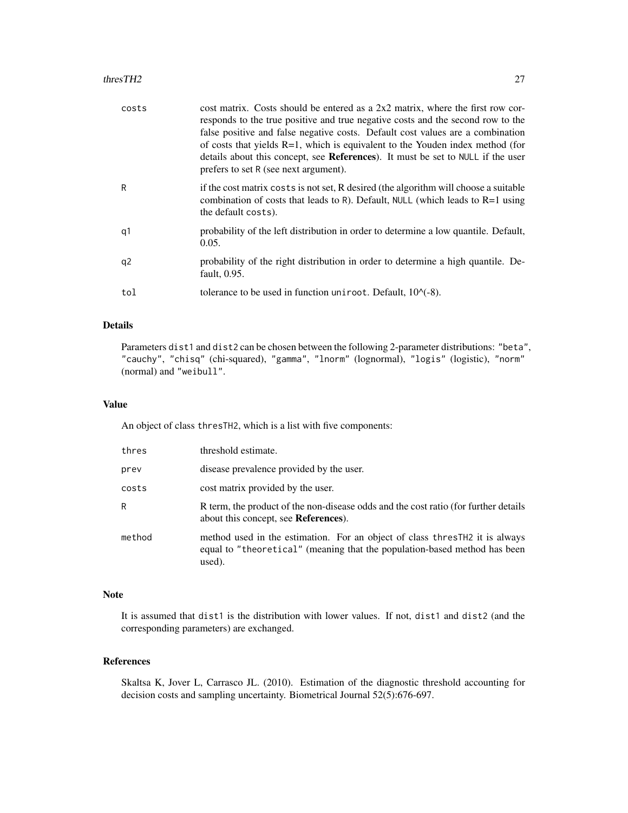#### thresTH2 27

| costs | cost matrix. Costs should be entered as a $2x2$ matrix, where the first row cor-<br>responds to the true positive and true negative costs and the second row to the<br>false positive and false negative costs. Default cost values are a combination<br>of costs that yields $R=1$ , which is equivalent to the Youden index method (for<br>details about this concept, see References). It must be set to NULL if the user<br>prefers to set R (see next argument). |
|-------|-----------------------------------------------------------------------------------------------------------------------------------------------------------------------------------------------------------------------------------------------------------------------------------------------------------------------------------------------------------------------------------------------------------------------------------------------------------------------|
| R     | if the cost matrix costs is not set, R desired (the algorithm will choose a suitable<br>combination of costs that leads to R). Default, NULL (which leads to $R=1$ using<br>the default costs).                                                                                                                                                                                                                                                                       |
| q1    | probability of the left distribution in order to determine a low quantile. Default,<br>0.05.                                                                                                                                                                                                                                                                                                                                                                          |
| q2    | probability of the right distribution in order to determine a high quantile. De-<br>fault, 0.95.                                                                                                                                                                                                                                                                                                                                                                      |
| tol   | tolerance to be used in function uniroot. Default, $10^{-6}$ .                                                                                                                                                                                                                                                                                                                                                                                                        |

#### Details

Parameters dist1 and dist2 can be chosen between the following 2-parameter distributions: "beta", "cauchy", "chisq" (chi-squared), "gamma", "lnorm" (lognormal), "logis" (logistic), "norm" (normal) and "weibull".

#### Value

An object of class thresTH2, which is a list with five components:

| thres  | threshold estimate.                                                                                                                                                 |
|--------|---------------------------------------------------------------------------------------------------------------------------------------------------------------------|
| prev   | disease prevalence provided by the user.                                                                                                                            |
| costs  | cost matrix provided by the user.                                                                                                                                   |
| R      | R term, the product of the non-disease odds and the cost ratio (for further details<br>about this concept, see <b>References</b> ).                                 |
| method | method used in the estimation. For an object of class thres TH2 it is always<br>equal to "theoretical" (meaning that the population-based method has been<br>used). |

# Note

It is assumed that dist1 is the distribution with lower values. If not, dist1 and dist2 (and the corresponding parameters) are exchanged.

# References

Skaltsa K, Jover L, Carrasco JL. (2010). Estimation of the diagnostic threshold accounting for decision costs and sampling uncertainty. Biometrical Journal 52(5):676-697.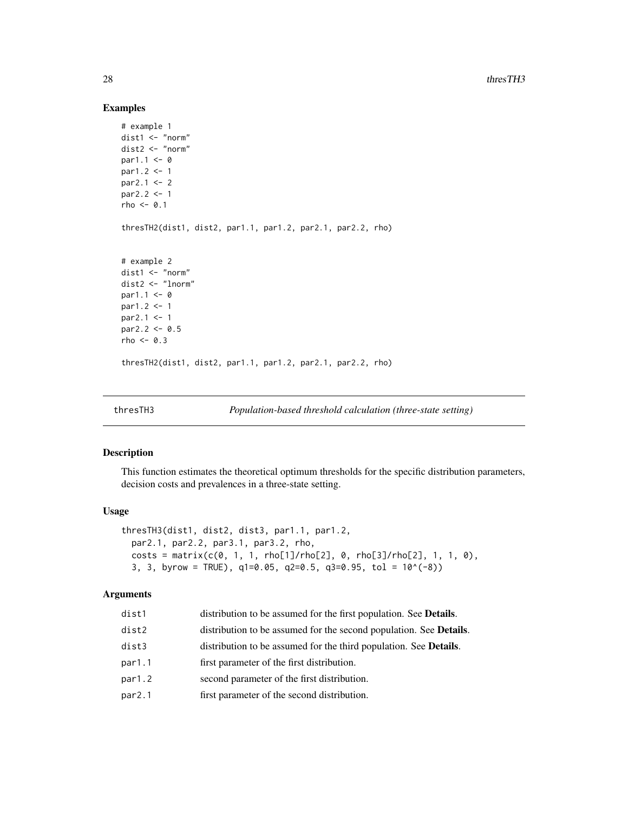# Examples

```
# example 1
dist1 <- "norm"
dist2 <- "norm"
par1.1 < -0par1.2 < -1par2.1 <- 2
par2.2 <- 1
rho <-0.1thresTH2(dist1, dist2, par1.1, par1.2, par2.1, par2.2, rho)
# example 2
dist1 <- "norm"
dist2 <- "lnorm"
par1.1 < -0par1.2 < -1par2.1 <- 1
par2.2 < -0.5rho <-0.3thresTH2(dist1, dist2, par1.1, par1.2, par2.1, par2.2, rho)
```
<span id="page-27-1"></span>thresTH3 *Population-based threshold calculation (three-state setting)*

# Description

This function estimates the theoretical optimum thresholds for the specific distribution parameters, decision costs and prevalences in a three-state setting.

#### Usage

```
thresTH3(dist1, dist2, dist3, par1.1, par1.2,
 par2.1, par2.2, par3.1, par3.2, rho,
 costs = matrix(c(0, 1, 1, rho[1]/rho[2], 0, rho[3]/rho[2], 1, 1, 0),3, 3, byrow = TRUE), q1=0.05, q2=0.5, q3=0.95, tol = 10^(-8)
```
# Arguments

| dist1  | distribution to be assumed for the first population. See Details.          |
|--------|----------------------------------------------------------------------------|
| dist2  | distribution to be assumed for the second population. See <b>Details</b> . |
| dist3  | distribution to be assumed for the third population. See <b>Details</b> .  |
| par1.1 | first parameter of the first distribution.                                 |
| par1.2 | second parameter of the first distribution.                                |
| par2.1 | first parameter of the second distribution.                                |
|        |                                                                            |

<span id="page-27-0"></span>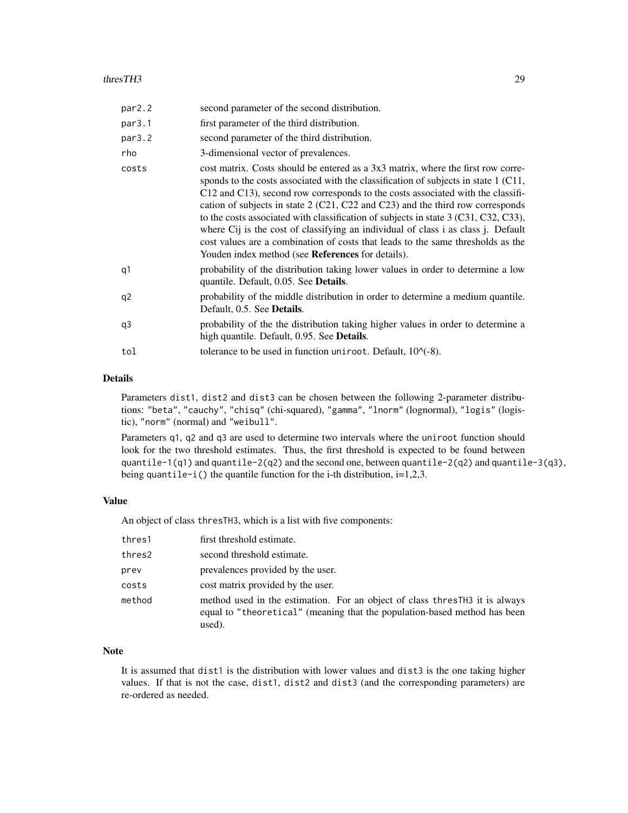#### thresTH3 29

| par2.2         | second parameter of the second distribution.                                                                                                                                                                                                                                                                                                                                                                                                                                                                                                                                                                                                                              |
|----------------|---------------------------------------------------------------------------------------------------------------------------------------------------------------------------------------------------------------------------------------------------------------------------------------------------------------------------------------------------------------------------------------------------------------------------------------------------------------------------------------------------------------------------------------------------------------------------------------------------------------------------------------------------------------------------|
| par3.1         | first parameter of the third distribution.                                                                                                                                                                                                                                                                                                                                                                                                                                                                                                                                                                                                                                |
| par3.2         | second parameter of the third distribution.                                                                                                                                                                                                                                                                                                                                                                                                                                                                                                                                                                                                                               |
| rho            | 3-dimensional vector of prevalences.                                                                                                                                                                                                                                                                                                                                                                                                                                                                                                                                                                                                                                      |
| costs          | cost matrix. Costs should be entered as a 3x3 matrix, where the first row corre-<br>sponds to the costs associated with the classification of subjects in state 1 (C11,<br>C12 and C13), second row corresponds to the costs associated with the classifi-<br>cation of subjects in state $2$ (C21, C22 and C23) and the third row corresponds<br>to the costs associated with classification of subjects in state 3 (C31, C32, C33),<br>where Cij is the cost of classifying an individual of class i as class j. Default<br>cost values are a combination of costs that leads to the same thresholds as the<br>Youden index method (see <b>References</b> for details). |
| q1             | probability of the distribution taking lower values in order to determine a low<br>quantile. Default, 0.05. See <b>Details</b> .                                                                                                                                                                                                                                                                                                                                                                                                                                                                                                                                          |
| q <sub>2</sub> | probability of the middle distribution in order to determine a medium quantile.<br>Default, 0.5. See <b>Details</b> .                                                                                                                                                                                                                                                                                                                                                                                                                                                                                                                                                     |
| q3             | probability of the the distribution taking higher values in order to determine a<br>high quantile. Default, 0.95. See <b>Details</b> .                                                                                                                                                                                                                                                                                                                                                                                                                                                                                                                                    |
| tol            | tolerance to be used in function uniroot. Default, $10^{-6}$ .                                                                                                                                                                                                                                                                                                                                                                                                                                                                                                                                                                                                            |

# Details

Parameters dist1, dist2 and dist3 can be chosen between the following 2-parameter distributions: "beta", "cauchy", "chisq" (chi-squared), "gamma", "lnorm" (lognormal), "logis" (logistic), "norm" (normal) and "weibull".

Parameters q1, q2 and q3 are used to determine two intervals where the uniroot function should look for the two threshold estimates. Thus, the first threshold is expected to be found between quantile-1(q1) and quantile-2(q2) and the second one, between quantile-2(q2) and quantile-3(q3), being quantile-i() the quantile function for the i-th distribution, i=1,2,3.

#### Value

An object of class thresTH3, which is a list with five components:

| thres1 | first threshold estimate.                                                                                                                                          |
|--------|--------------------------------------------------------------------------------------------------------------------------------------------------------------------|
| thres2 | second threshold estimate.                                                                                                                                         |
| prev   | prevalences provided by the user.                                                                                                                                  |
| costs  | cost matrix provided by the user.                                                                                                                                  |
| method | method used in the estimation. For an object of class thresTH3 it is always<br>equal to "theoretical" (meaning that the population-based method has been<br>used). |

# Note

It is assumed that dist1 is the distribution with lower values and dist3 is the one taking higher values. If that is not the case, dist1, dist2 and dist3 (and the corresponding parameters) are re-ordered as needed.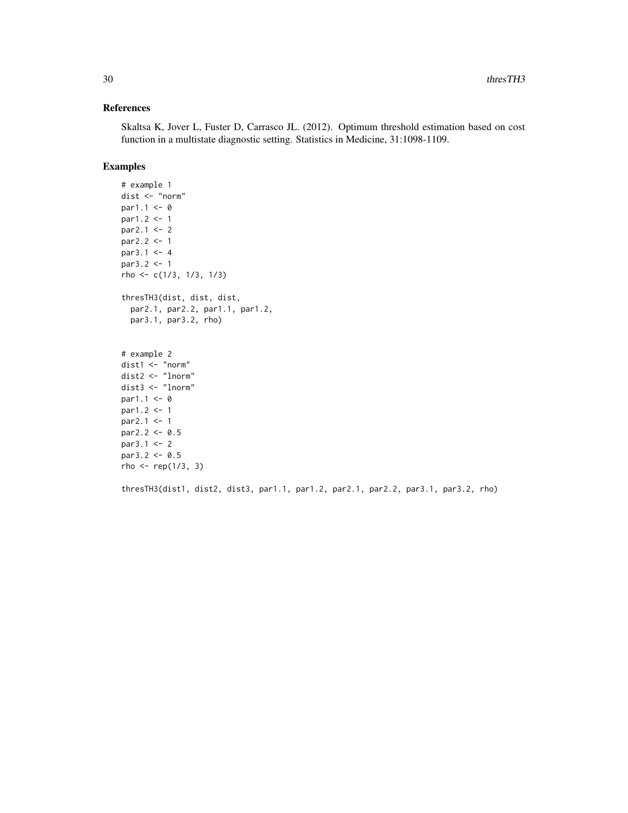# References

Skaltsa K, Jover L, Fuster D, Carrasco JL. (2012). Optimum threshold estimation based on cost function in a multistate diagnostic setting. Statistics in Medicine, 31:1098-1109.

# Examples

```
# example 1
dist <- "norm"
par1.1 <- 0
par1.2 <- 1
par2.1 < -2par2.2 < -1par3.1 < -4par3.2 <- 1
rho <- c(1/3, 1/3, 1/3)
thresTH3(dist, dist, dist,
  par2.1, par2.2, par1.1, par1.2,
  par3.1, par3.2, rho)
# example 2
dist1 <- "norm"
dist2 <- "lnorm"
dist3 <- "lnorm"
par1.1 < -0par1.2 < -1par2.1 <- 1
par2.2 < -0.5par3.1 < -2par3.2 < -0.5rho < - rep(1/3, 3)
```
thresTH3(dist1, dist2, dist3, par1.1, par1.2, par2.1, par2.2, par3.1, par3.2, rho)